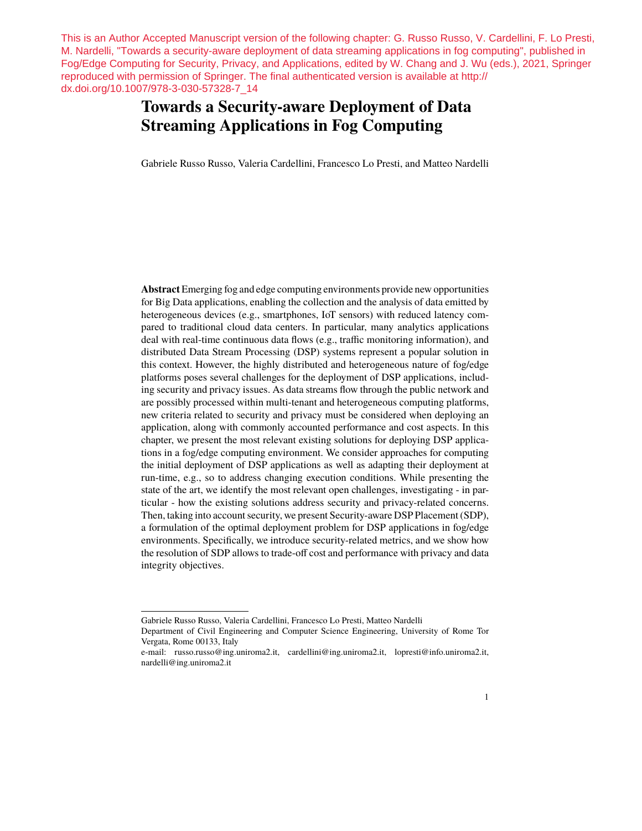This is an Author Accepted Manuscript version of the following chapter: G. Russo Russo, V. Cardellini, F. Lo Presti, M. Nardelli, "Towards a security-aware deployment of data streaming applications in fog computing", published in Fog/Edge Computing for Security, Privacy, and Applications, edited by W. Chang and J. Wu (eds.), 2021, Springer reproduced with permission of Springer. The final authenticated version is available at http:// dx.doi.org/10.1007/978-3-030-57328-7\_14

# **Towards a Security-aware Deployment of Data Streaming Applications in Fog Computing**

Gabriele Russo Russo, Valeria Cardellini, Francesco Lo Presti, and Matteo Nardelli

**Abstract** Emerging fog and edge computing environments provide new opportunities for Big Data applications, enabling the collection and the analysis of data emitted by heterogeneous devices (e.g., smartphones, IoT sensors) with reduced latency compared to traditional cloud data centers. In particular, many analytics applications deal with real-time continuous data flows (e.g., traffic monitoring information), and distributed Data Stream Processing (DSP) systems represent a popular solution in this context. However, the highly distributed and heterogeneous nature of fog/edge platforms poses several challenges for the deployment of DSP applications, including security and privacy issues. As data streams flow through the public network and are possibly processed within multi-tenant and heterogeneous computing platforms, new criteria related to security and privacy must be considered when deploying an application, along with commonly accounted performance and cost aspects. In this chapter, we present the most relevant existing solutions for deploying DSP applications in a fog/edge computing environment. We consider approaches for computing the initial deployment of DSP applications as well as adapting their deployment at run-time, e.g., so to address changing execution conditions. While presenting the state of the art, we identify the most relevant open challenges, investigating - in particular - how the existing solutions address security and privacy-related concerns. Then, taking into account security, we present Security-aware DSP Placement (SDP), a formulation of the optimal deployment problem for DSP applications in fog/edge environments. Specifically, we introduce security-related metrics, and we show how the resolution of SDP allows to trade-off cost and performance with privacy and data integrity objectives.

Gabriele Russo Russo, Valeria Cardellini, Francesco Lo Presti, Matteo Nardelli Department of Civil Engineering and Computer Science Engineering, University of Rome Tor

Vergata, Rome 00133, Italy

e-mail: russo.russo@ing.uniroma2.it, cardellini@ing.uniroma2.it, lopresti@info.uniroma2.it, nardelli@ing.uniroma2.it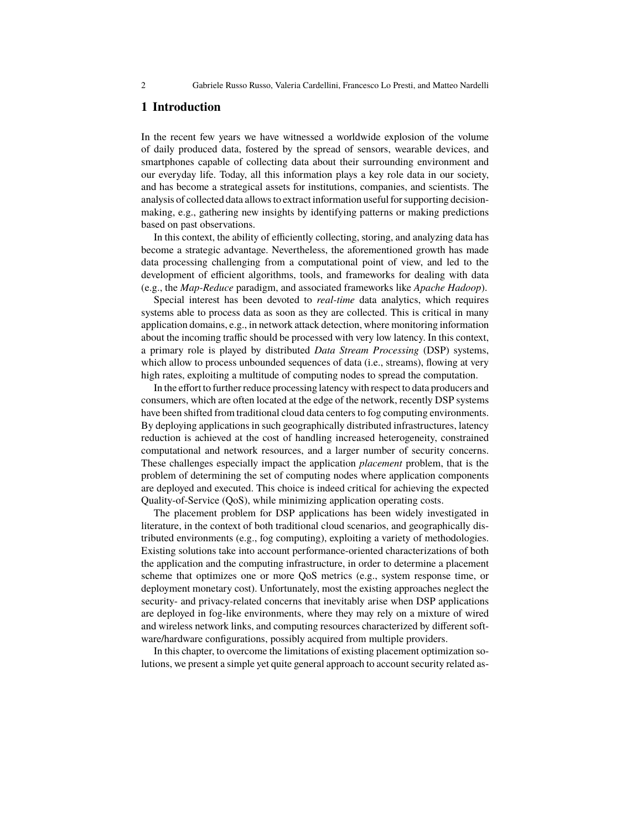# **1 Introduction**

In the recent few years we have witnessed a worldwide explosion of the volume of daily produced data, fostered by the spread of sensors, wearable devices, and smartphones capable of collecting data about their surrounding environment and our everyday life. Today, all this information plays a key role data in our society, and has become a strategical assets for institutions, companies, and scientists. The analysis of collected data allows to extract information useful for supporting decisionmaking, e.g., gathering new insights by identifying patterns or making predictions based on past observations.

In this context, the ability of efficiently collecting, storing, and analyzing data has become a strategic advantage. Nevertheless, the aforementioned growth has made data processing challenging from a computational point of view, and led to the development of efficient algorithms, tools, and frameworks for dealing with data (e.g., the *Map-Reduce* paradigm, and associated frameworks like *Apache Hadoop*).

Special interest has been devoted to *real-time* data analytics, which requires systems able to process data as soon as they are collected. This is critical in many application domains, e.g., in network attack detection, where monitoring information about the incoming traffic should be processed with very low latency. In this context, a primary role is played by distributed *Data Stream Processing* (DSP) systems, which allow to process unbounded sequences of data (i.e., streams), flowing at very high rates, exploiting a multitude of computing nodes to spread the computation.

In the effort to further reduce processing latency with respect to data producers and consumers, which are often located at the edge of the network, recently DSP systems have been shifted from traditional cloud data centers to fog computing environments. By deploying applications in such geographically distributed infrastructures, latency reduction is achieved at the cost of handling increased heterogeneity, constrained computational and network resources, and a larger number of security concerns. These challenges especially impact the application *placement* problem, that is the problem of determining the set of computing nodes where application components are deployed and executed. This choice is indeed critical for achieving the expected Quality-of-Service (QoS), while minimizing application operating costs.

The placement problem for DSP applications has been widely investigated in literature, in the context of both traditional cloud scenarios, and geographically distributed environments (e.g., fog computing), exploiting a variety of methodologies. Existing solutions take into account performance-oriented characterizations of both the application and the computing infrastructure, in order to determine a placement scheme that optimizes one or more QoS metrics (e.g., system response time, or deployment monetary cost). Unfortunately, most the existing approaches neglect the security- and privacy-related concerns that inevitably arise when DSP applications are deployed in fog-like environments, where they may rely on a mixture of wired and wireless network links, and computing resources characterized by different software/hardware configurations, possibly acquired from multiple providers.

In this chapter, to overcome the limitations of existing placement optimization solutions, we present a simple yet quite general approach to account security related as-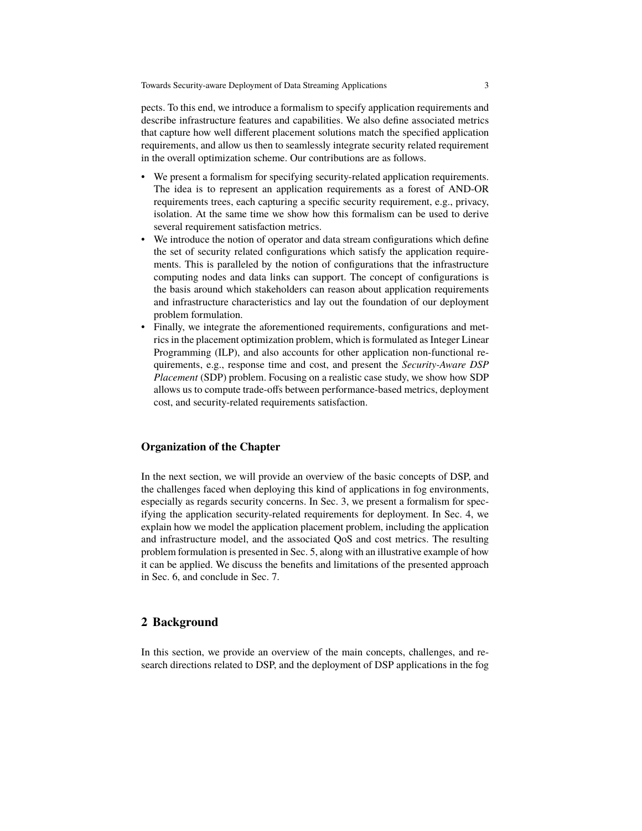pects. To this end, we introduce a formalism to specify application requirements and describe infrastructure features and capabilities. We also define associated metrics that capture how well different placement solutions match the specified application requirements, and allow us then to seamlessly integrate security related requirement in the overall optimization scheme. Our contributions are as follows.

- We present a formalism for specifying security-related application requirements. The idea is to represent an application requirements as a forest of AND-OR requirements trees, each capturing a specific security requirement, e.g., privacy, isolation. At the same time we show how this formalism can be used to derive several requirement satisfaction metrics.
- We introduce the notion of operator and data stream configurations which define the set of security related configurations which satisfy the application requirements. This is paralleled by the notion of configurations that the infrastructure computing nodes and data links can support. The concept of configurations is the basis around which stakeholders can reason about application requirements and infrastructure characteristics and lay out the foundation of our deployment problem formulation.
- Finally, we integrate the aforementioned requirements, configurations and metrics in the placement optimization problem, which is formulated as Integer Linear Programming (ILP), and also accounts for other application non-functional requirements, e.g., response time and cost, and present the *Security-Aware DSP Placement* (SDP) problem. Focusing on a realistic case study, we show how SDP allows us to compute trade-offs between performance-based metrics, deployment cost, and security-related requirements satisfaction.

## **Organization of the Chapter**

In the next section, we will provide an overview of the basic concepts of DSP, and the challenges faced when deploying this kind of applications in fog environments, especially as regards security concerns. In Sec. 3, we present a formalism for specifying the application security-related requirements for deployment. In Sec. 4, we explain how we model the application placement problem, including the application and infrastructure model, and the associated QoS and cost metrics. The resulting problem formulation is presented in Sec. 5, along with an illustrative example of how it can be applied. We discuss the benefits and limitations of the presented approach in Sec. 6, and conclude in Sec. 7.

# **2 Background**

In this section, we provide an overview of the main concepts, challenges, and research directions related to DSP, and the deployment of DSP applications in the fog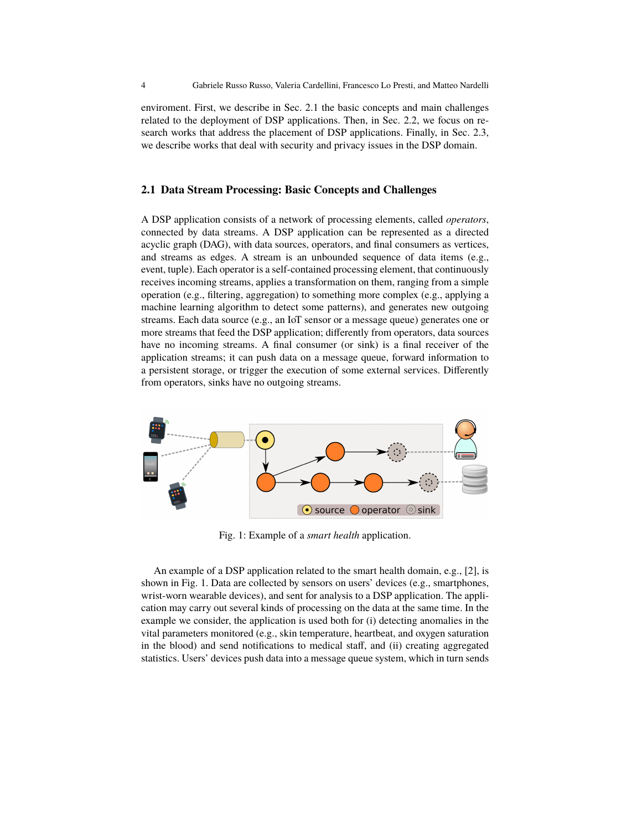enviroment. First, we describe in Sec. 2.1 the basic concepts and main challenges related to the deployment of DSP applications. Then, in Sec. 2.2, we focus on research works that address the placement of DSP applications. Finally, in Sec. 2.3, we describe works that deal with security and privacy issues in the DSP domain.

# **2.1 Data Stream Processing: Basic Concepts and Challenges**

A DSP application consists of a network of processing elements, called *operators*, connected by data streams. A DSP application can be represented as a directed acyclic graph (DAG), with data sources, operators, and final consumers as vertices, and streams as edges. A stream is an unbounded sequence of data items (e.g., event, tuple). Each operator is a self-contained processing element, that continuously receives incoming streams, applies a transformation on them, ranging from a simple operation (e.g., filtering, aggregation) to something more complex (e.g., applying a machine learning algorithm to detect some patterns), and generates new outgoing streams. Each data source (e.g., an IoT sensor or a message queue) generates one or more streams that feed the DSP application; differently from operators, data sources have no incoming streams. A final consumer (or sink) is a final receiver of the application streams; it can push data on a message queue, forward information to a persistent storage, or trigger the execution of some external services. Differently from operators, sinks have no outgoing streams.



Fig. 1: Example of a *smart health* application.

An example of a DSP application related to the smart health domain, e.g., [2], is shown in Fig. 1. Data are collected by sensors on users' devices (e.g., smartphones, wrist-worn wearable devices), and sent for analysis to a DSP application. The application may carry out several kinds of processing on the data at the same time. In the example we consider, the application is used both for (i) detecting anomalies in the vital parameters monitored (e.g., skin temperature, heartbeat, and oxygen saturation in the blood) and send notifications to medical staff, and (ii) creating aggregated statistics. Users' devices push data into a message queue system, which in turn sends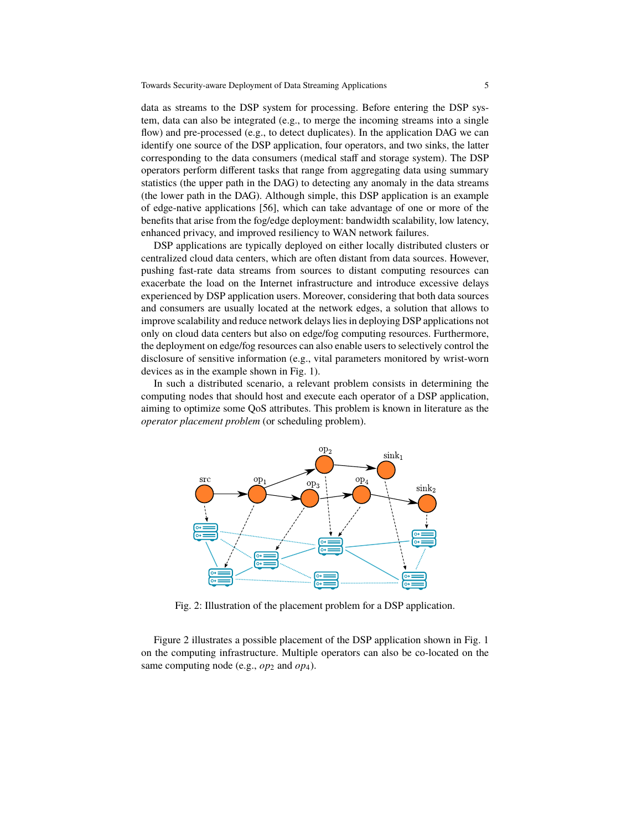data as streams to the DSP system for processing. Before entering the DSP system, data can also be integrated (e.g., to merge the incoming streams into a single flow) and pre-processed (e.g., to detect duplicates). In the application DAG we can identify one source of the DSP application, four operators, and two sinks, the latter corresponding to the data consumers (medical staff and storage system). The DSP operators perform different tasks that range from aggregating data using summary statistics (the upper path in the DAG) to detecting any anomaly in the data streams (the lower path in the DAG). Although simple, this DSP application is an example of edge-native applications [56], which can take advantage of one or more of the benefits that arise from the fog/edge deployment: bandwidth scalability, low latency, enhanced privacy, and improved resiliency to WAN network failures.

DSP applications are typically deployed on either locally distributed clusters or centralized cloud data centers, which are often distant from data sources. However, pushing fast-rate data streams from sources to distant computing resources can exacerbate the load on the Internet infrastructure and introduce excessive delays experienced by DSP application users. Moreover, considering that both data sources and consumers are usually located at the network edges, a solution that allows to improve scalability and reduce network delays lies in deploying DSP applications not only on cloud data centers but also on edge/fog computing resources. Furthermore, the deployment on edge/fog resources can also enable users to selectively control the disclosure of sensitive information (e.g., vital parameters monitored by wrist-worn devices as in the example shown in Fig. 1).

In such a distributed scenario, a relevant problem consists in determining the computing nodes that should host and execute each operator of a DSP application, aiming to optimize some QoS attributes. This problem is known in literature as the *operator placement problem* (or scheduling problem).



Fig. 2: Illustration of the placement problem for a DSP application.

Figure 2 illustrates a possible placement of the DSP application shown in Fig. 1 on the computing infrastructure. Multiple operators can also be co-located on the same computing node (e.g.,  $op_2$  and  $op_4$ ).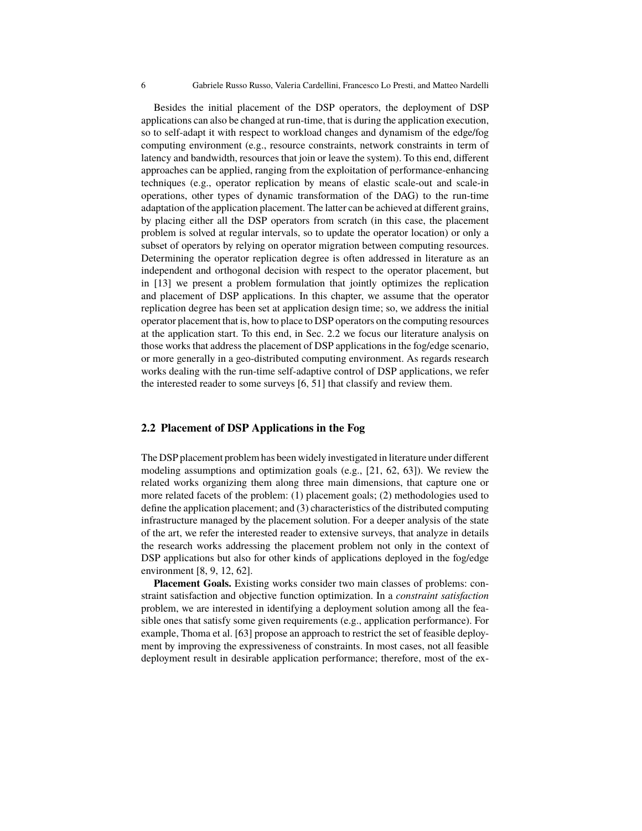Besides the initial placement of the DSP operators, the deployment of DSP applications can also be changed at run-time, that is during the application execution, so to self-adapt it with respect to workload changes and dynamism of the edge/fog computing environment (e.g., resource constraints, network constraints in term of latency and bandwidth, resources that join or leave the system). To this end, different approaches can be applied, ranging from the exploitation of performance-enhancing techniques (e.g., operator replication by means of elastic scale-out and scale-in operations, other types of dynamic transformation of the DAG) to the run-time adaptation of the application placement. The latter can be achieved at different grains, by placing either all the DSP operators from scratch (in this case, the placement problem is solved at regular intervals, so to update the operator location) or only a subset of operators by relying on operator migration between computing resources. Determining the operator replication degree is often addressed in literature as an independent and orthogonal decision with respect to the operator placement, but in [13] we present a problem formulation that jointly optimizes the replication and placement of DSP applications. In this chapter, we assume that the operator replication degree has been set at application design time; so, we address the initial operator placement that is, how to place to DSP operators on the computing resources at the application start. To this end, in Sec. 2.2 we focus our literature analysis on those works that address the placement of DSP applications in the fog/edge scenario, or more generally in a geo-distributed computing environment. As regards research works dealing with the run-time self-adaptive control of DSP applications, we refer the interested reader to some surveys [6, 51] that classify and review them.

### **2.2 Placement of DSP Applications in the Fog**

The DSP placement problem has been widely investigated in literature under different modeling assumptions and optimization goals (e.g., [21, 62, 63]). We review the related works organizing them along three main dimensions, that capture one or more related facets of the problem: (1) placement goals; (2) methodologies used to define the application placement; and (3) characteristics of the distributed computing infrastructure managed by the placement solution. For a deeper analysis of the state of the art, we refer the interested reader to extensive surveys, that analyze in details the research works addressing the placement problem not only in the context of DSP applications but also for other kinds of applications deployed in the fog/edge environment [8, 9, 12, 62].

**Placement Goals.** Existing works consider two main classes of problems: constraint satisfaction and objective function optimization. In a *constraint satisfaction* problem, we are interested in identifying a deployment solution among all the feasible ones that satisfy some given requirements (e.g., application performance). For example, Thoma et al. [63] propose an approach to restrict the set of feasible deployment by improving the expressiveness of constraints. In most cases, not all feasible deployment result in desirable application performance; therefore, most of the ex-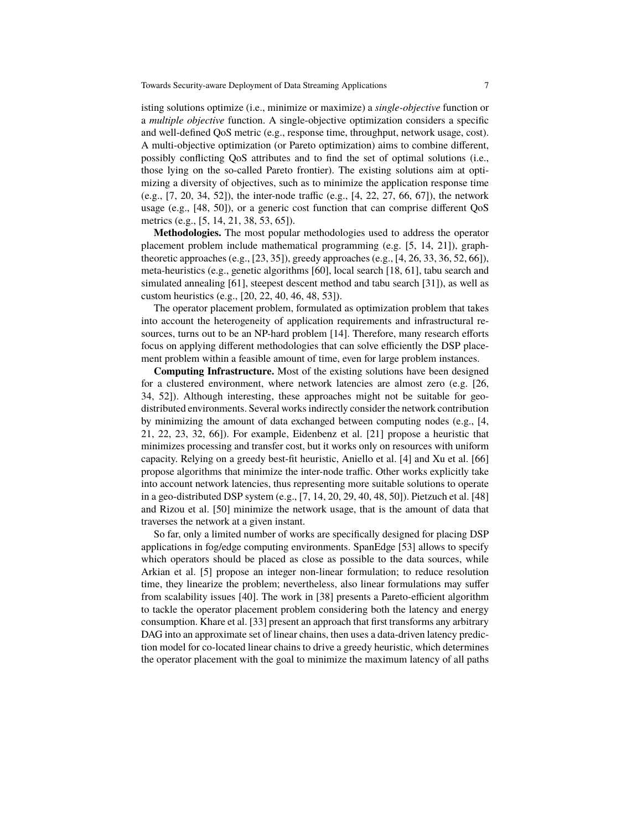isting solutions optimize (i.e., minimize or maximize) a *single-objective* function or a *multiple objective* function. A single-objective optimization considers a specific and well-defined QoS metric (e.g., response time, throughput, network usage, cost). A multi-objective optimization (or Pareto optimization) aims to combine different, possibly conflicting QoS attributes and to find the set of optimal solutions (i.e., those lying on the so-called Pareto frontier). The existing solutions aim at optimizing a diversity of objectives, such as to minimize the application response time (e.g., [7, 20, 34, 52]), the inter-node traffic (e.g., [4, 22, 27, 66, 67]), the network usage (e.g., [48, 50]), or a generic cost function that can comprise different QoS metrics (e.g., [5, 14, 21, 38, 53, 65]).

**Methodologies.** The most popular methodologies used to address the operator placement problem include mathematical programming (e.g. [5, 14, 21]), graphtheoretic approaches (e.g., [23, 35]), greedy approaches (e.g., [4, 26, 33, 36, 52, 66]), meta-heuristics (e.g., genetic algorithms [60], local search [18, 61], tabu search and simulated annealing [61], steepest descent method and tabu search [31]), as well as custom heuristics (e.g., [20, 22, 40, 46, 48, 53]).

The operator placement problem, formulated as optimization problem that takes into account the heterogeneity of application requirements and infrastructural resources, turns out to be an NP-hard problem [14]. Therefore, many research efforts focus on applying different methodologies that can solve efficiently the DSP placement problem within a feasible amount of time, even for large problem instances.

**Computing Infrastructure.** Most of the existing solutions have been designed for a clustered environment, where network latencies are almost zero (e.g. [26, 34, 52]). Although interesting, these approaches might not be suitable for geodistributed environments. Several works indirectly consider the network contribution by minimizing the amount of data exchanged between computing nodes (e.g., [4, 21, 22, 23, 32, 66]). For example, Eidenbenz et al. [21] propose a heuristic that minimizes processing and transfer cost, but it works only on resources with uniform capacity. Relying on a greedy best-fit heuristic, Aniello et al. [4] and Xu et al. [66] propose algorithms that minimize the inter-node traffic. Other works explicitly take into account network latencies, thus representing more suitable solutions to operate in a geo-distributed DSP system (e.g., [7, 14, 20, 29, 40, 48, 50]). Pietzuch et al. [48] and Rizou et al. [50] minimize the network usage, that is the amount of data that traverses the network at a given instant.

So far, only a limited number of works are specifically designed for placing DSP applications in fog/edge computing environments. SpanEdge [53] allows to specify which operators should be placed as close as possible to the data sources, while Arkian et al. [5] propose an integer non-linear formulation; to reduce resolution time, they linearize the problem; nevertheless, also linear formulations may suffer from scalability issues [40]. The work in [38] presents a Pareto-efficient algorithm to tackle the operator placement problem considering both the latency and energy consumption. Khare et al. [33] present an approach that first transforms any arbitrary DAG into an approximate set of linear chains, then uses a data-driven latency prediction model for co-located linear chains to drive a greedy heuristic, which determines the operator placement with the goal to minimize the maximum latency of all paths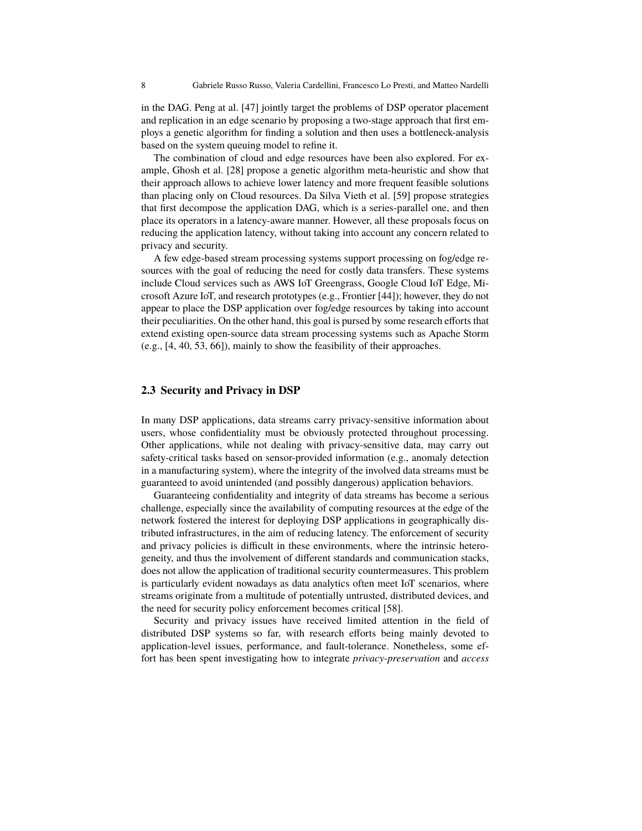in the DAG. Peng at al. [47] jointly target the problems of DSP operator placement and replication in an edge scenario by proposing a two-stage approach that first employs a genetic algorithm for finding a solution and then uses a bottleneck-analysis based on the system queuing model to refine it.

The combination of cloud and edge resources have been also explored. For example, Ghosh et al. [28] propose a genetic algorithm meta-heuristic and show that their approach allows to achieve lower latency and more frequent feasible solutions than placing only on Cloud resources. Da Silva Vieth et al. [59] propose strategies that first decompose the application DAG, which is a series-parallel one, and then place its operators in a latency-aware manner. However, all these proposals focus on reducing the application latency, without taking into account any concern related to privacy and security.

A few edge-based stream processing systems support processing on fog/edge resources with the goal of reducing the need for costly data transfers. These systems include Cloud services such as AWS IoT Greengrass, Google Cloud IoT Edge, Microsoft Azure IoT, and research prototypes (e.g., Frontier [44]); however, they do not appear to place the DSP application over fog/edge resources by taking into account their peculiarities. On the other hand, this goal is pursed by some research efforts that extend existing open-source data stream processing systems such as Apache Storm (e.g., [4, 40, 53, 66]), mainly to show the feasibility of their approaches.

### **2.3 Security and Privacy in DSP**

In many DSP applications, data streams carry privacy-sensitive information about users, whose confidentiality must be obviously protected throughout processing. Other applications, while not dealing with privacy-sensitive data, may carry out safety-critical tasks based on sensor-provided information (e.g., anomaly detection in a manufacturing system), where the integrity of the involved data streams must be guaranteed to avoid unintended (and possibly dangerous) application behaviors.

Guaranteeing confidentiality and integrity of data streams has become a serious challenge, especially since the availability of computing resources at the edge of the network fostered the interest for deploying DSP applications in geographically distributed infrastructures, in the aim of reducing latency. The enforcement of security and privacy policies is difficult in these environments, where the intrinsic heterogeneity, and thus the involvement of different standards and communication stacks, does not allow the application of traditional security countermeasures. This problem is particularly evident nowadays as data analytics often meet IoT scenarios, where streams originate from a multitude of potentially untrusted, distributed devices, and the need for security policy enforcement becomes critical [58].

Security and privacy issues have received limited attention in the field of distributed DSP systems so far, with research efforts being mainly devoted to application-level issues, performance, and fault-tolerance. Nonetheless, some effort has been spent investigating how to integrate *privacy-preservation* and *access*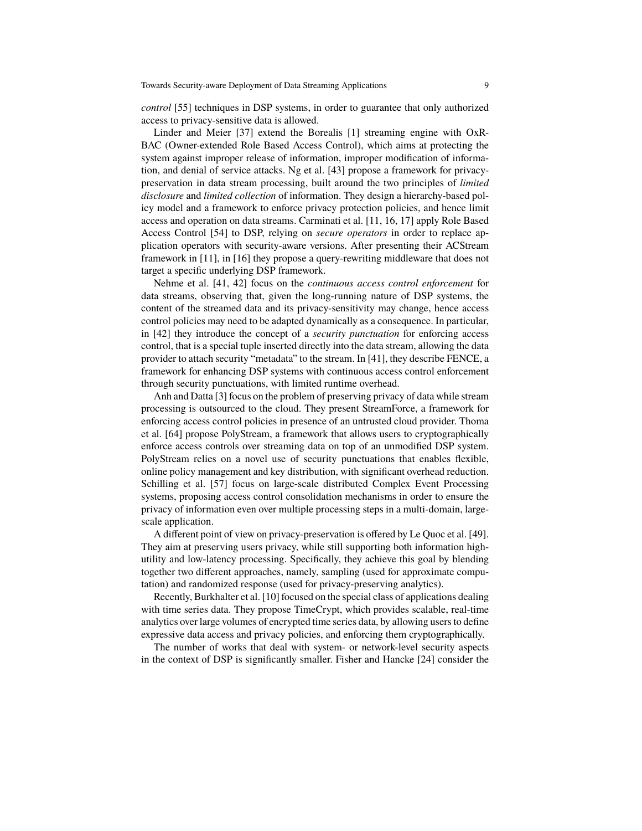*control* [55] techniques in DSP systems, in order to guarantee that only authorized access to privacy-sensitive data is allowed.

Linder and Meier [37] extend the Borealis [1] streaming engine with OxR-BAC (Owner-extended Role Based Access Control), which aims at protecting the system against improper release of information, improper modification of information, and denial of service attacks. Ng et al. [43] propose a framework for privacypreservation in data stream processing, built around the two principles of *limited disclosure* and *limited collection* of information. They design a hierarchy-based policy model and a framework to enforce privacy protection policies, and hence limit access and operation on data streams. Carminati et al. [11, 16, 17] apply Role Based Access Control [54] to DSP, relying on *secure operators* in order to replace application operators with security-aware versions. After presenting their ACStream framework in [11], in [16] they propose a query-rewriting middleware that does not target a specific underlying DSP framework.

Nehme et al. [41, 42] focus on the *continuous access control enforcement* for data streams, observing that, given the long-running nature of DSP systems, the content of the streamed data and its privacy-sensitivity may change, hence access control policies may need to be adapted dynamically as a consequence. In particular, in [42] they introduce the concept of a *security punctuation* for enforcing access control, that is a special tuple inserted directly into the data stream, allowing the data provider to attach security "metadata" to the stream. In [41], they describe FENCE, a framework for enhancing DSP systems with continuous access control enforcement through security punctuations, with limited runtime overhead.

Anh and Datta [3] focus on the problem of preserving privacy of data while stream processing is outsourced to the cloud. They present StreamForce, a framework for enforcing access control policies in presence of an untrusted cloud provider. Thoma et al. [64] propose PolyStream, a framework that allows users to cryptographically enforce access controls over streaming data on top of an unmodified DSP system. PolyStream relies on a novel use of security punctuations that enables flexible, online policy management and key distribution, with significant overhead reduction. Schilling et al. [57] focus on large-scale distributed Complex Event Processing systems, proposing access control consolidation mechanisms in order to ensure the privacy of information even over multiple processing steps in a multi-domain, largescale application.

A different point of view on privacy-preservation is offered by Le Quoc et al. [49]. They aim at preserving users privacy, while still supporting both information highutility and low-latency processing. Specifically, they achieve this goal by blending together two different approaches, namely, sampling (used for approximate computation) and randomized response (used for privacy-preserving analytics).

Recently, Burkhalter et al. [10] focused on the special class of applications dealing with time series data. They propose TimeCrypt, which provides scalable, real-time analytics over large volumes of encrypted time series data, by allowing users to define expressive data access and privacy policies, and enforcing them cryptographically.

The number of works that deal with system- or network-level security aspects in the context of DSP is significantly smaller. Fisher and Hancke [24] consider the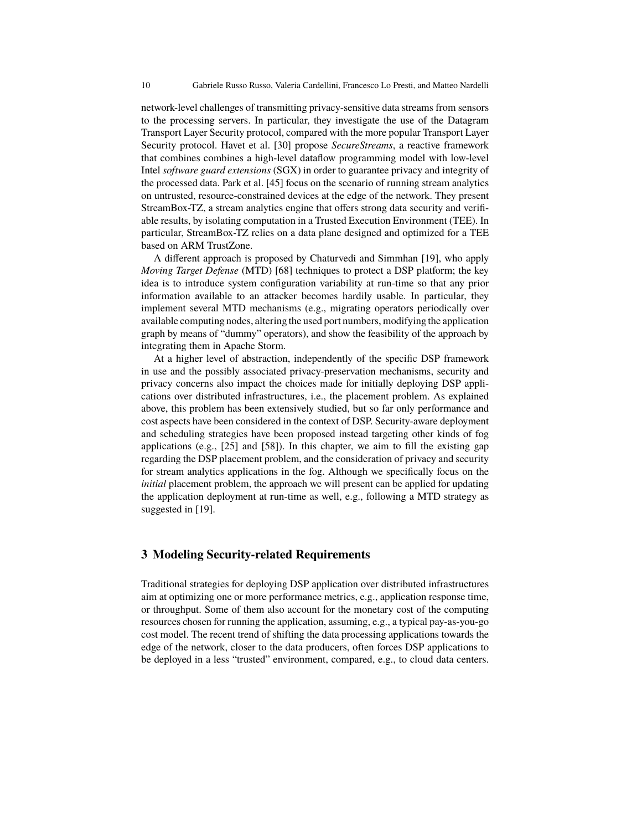network-level challenges of transmitting privacy-sensitive data streams from sensors to the processing servers. In particular, they investigate the use of the Datagram Transport Layer Security protocol, compared with the more popular Transport Layer Security protocol. Havet et al. [30] propose *SecureStreams*, a reactive framework that combines combines a high-level dataflow programming model with low-level Intel *software guard extensions* (SGX) in order to guarantee privacy and integrity of the processed data. Park et al. [45] focus on the scenario of running stream analytics on untrusted, resource-constrained devices at the edge of the network. They present StreamBox-TZ, a stream analytics engine that offers strong data security and verifiable results, by isolating computation in a Trusted Execution Environment (TEE). In particular, StreamBox-TZ relies on a data plane designed and optimized for a TEE based on ARM TrustZone.

A different approach is proposed by Chaturvedi and Simmhan [19], who apply *Moving Target Defense* (MTD) [68] techniques to protect a DSP platform; the key idea is to introduce system configuration variability at run-time so that any prior information available to an attacker becomes hardily usable. In particular, they implement several MTD mechanisms (e.g., migrating operators periodically over available computing nodes, altering the used port numbers, modifying the application graph by means of "dummy" operators), and show the feasibility of the approach by integrating them in Apache Storm.

At a higher level of abstraction, independently of the specific DSP framework in use and the possibly associated privacy-preservation mechanisms, security and privacy concerns also impact the choices made for initially deploying DSP applications over distributed infrastructures, i.e., the placement problem. As explained above, this problem has been extensively studied, but so far only performance and cost aspects have been considered in the context of DSP. Security-aware deployment and scheduling strategies have been proposed instead targeting other kinds of fog applications (e.g.,  $[25]$  and  $[58]$ ). In this chapter, we aim to fill the existing gap regarding the DSP placement problem, and the consideration of privacy and security for stream analytics applications in the fog. Although we specifically focus on the *initial* placement problem, the approach we will present can be applied for updating the application deployment at run-time as well, e.g., following a MTD strategy as suggested in [19].

# **3 Modeling Security-related Requirements**

Traditional strategies for deploying DSP application over distributed infrastructures aim at optimizing one or more performance metrics, e.g., application response time, or throughput. Some of them also account for the monetary cost of the computing resources chosen for running the application, assuming, e.g., a typical pay-as-you-go cost model. The recent trend of shifting the data processing applications towards the edge of the network, closer to the data producers, often forces DSP applications to be deployed in a less "trusted" environment, compared, e.g., to cloud data centers.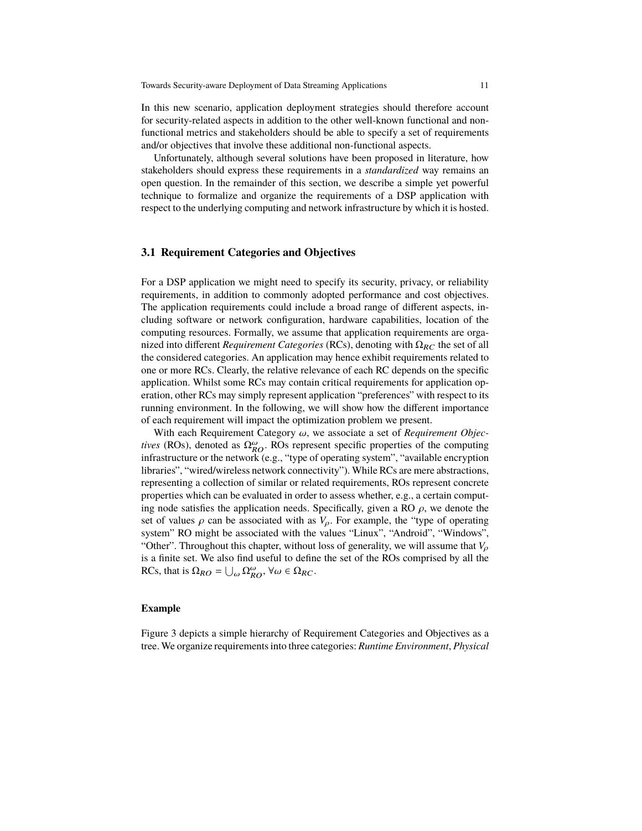In this new scenario, application deployment strategies should therefore account for security-related aspects in addition to the other well-known functional and nonfunctional metrics and stakeholders should be able to specify a set of requirements and/or objectives that involve these additional non-functional aspects.

Unfortunately, although several solutions have been proposed in literature, how stakeholders should express these requirements in a *standardized* way remains an open question. In the remainder of this section, we describe a simple yet powerful technique to formalize and organize the requirements of a DSP application with respect to the underlying computing and network infrastructure by which it is hosted.

# **3.1 Requirement Categories and Objectives**

For a DSP application we might need to specify its security, privacy, or reliability requirements, in addition to commonly adopted performance and cost objectives. The application requirements could include a broad range of different aspects, including software or network configuration, hardware capabilities, location of the computing resources. Formally, we assume that application requirements are organized into different *Requirement Categories* (RCs), denoting with  $Ω_{RC}$  the set of all the considered categories. An application may hence exhibit requirements related to one or more RCs. Clearly, the relative relevance of each RC depends on the specific application. Whilst some RCs may contain critical requirements for application operation, other RCs may simply represent application "preferences" with respect to its running environment. In the following, we will show how the different importance of each requirement will impact the optimization problem we present.

With each Requirement Category ω, we associate a set of *Requirement Objectives* (ROs), denoted as  $\Omega_{RO}^{\omega}$ . ROs represent specific properties of the computing infrastructure or the network (e.g., "type of operating system", "available encryption libraries", "wired/wireless network connectivity"). While RCs are mere abstractions, representing a collection of similar or related requirements, ROs represent concrete properties which can be evaluated in order to assess whether, e.g., a certain computing node satisfies the application needs. Specifically, given a RO  $\rho$ , we denote the set of values  $\rho$  can be associated with as  $V_\rho$ . For example, the "type of operating system" RO might be associated with the values "Linux", "Android", "Windows", "Other". Throughout this chapter, without loss of generality, we will assume that  $V_\rho$ is a finite set. We also find useful to define the set of the ROs comprised by all the RCs, that is  $\Omega_{RO} = \bigcup_{\omega} \Omega_{RO}^{\omega}, \forall \omega \in \Omega_{RC}$ .

#### **Example**

Figure 3 depicts a simple hierarchy of Requirement Categories and Objectives as a tree. We organize requirements into three categories: *Runtime Environment*, *Physical*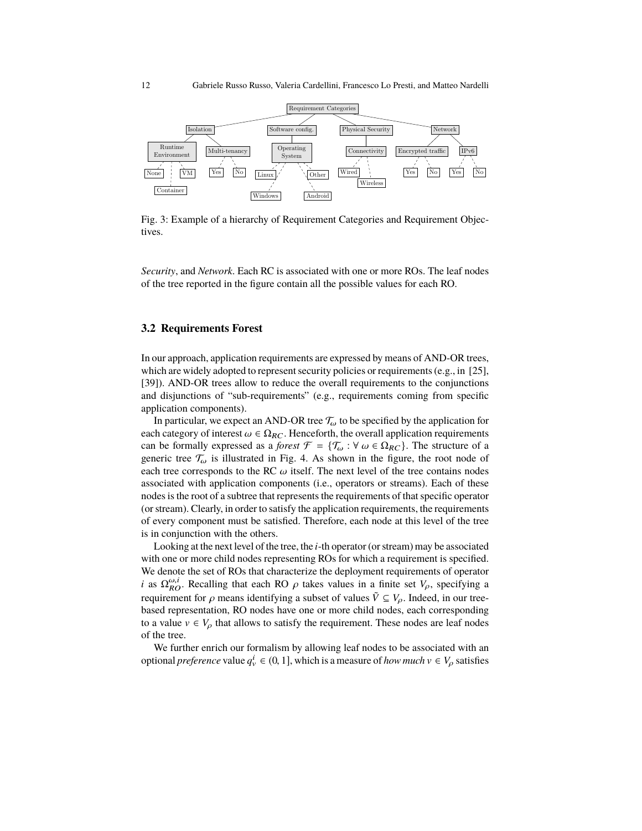

Fig. 3: Example of a hierarchy of Requirement Categories and Requirement Objectives.

*Security*, and *Network*. Each RC is associated with one or more ROs. The leaf nodes of the tree reported in the figure contain all the possible values for each RO.

# **3.2 Requirements Forest**

In our approach, application requirements are expressed by means of AND-OR trees, which are widely adopted to represent security policies or requirements (e.g., in [25], [39]). AND-OR trees allow to reduce the overall requirements to the conjunctions and disjunctions of "sub-requirements" (e.g., requirements coming from specific application components).

In particular, we expect an AND-OR tree  $\mathcal{T}_{\omega}$  to be specified by the application for each category of interest  $\omega \in \Omega_{RC}$ . Henceforth, the overall application requirements can be formally expressed as a *forest*  $\mathcal{F} = {\mathcal{T}_{\omega} : \forall \omega \in \Omega_{RC}}$ . The structure of a generic tree  $\mathcal{T}_{\omega}$  is illustrated in Fig. 4. As shown in the figure, the root node of each tree corresponds to the RC  $\omega$  itself. The next level of the tree contains nodes associated with application components (i.e., operators or streams). Each of these nodes is the root of a subtree that represents the requirements of that specific operator (or stream). Clearly, in order to satisfy the application requirements, the requirements of every component must be satisfied. Therefore, each node at this level of the tree is in conjunction with the others.

Looking at the next level of the tree, the *i*-th operator (or stream) may be associated with one or more child nodes representing ROs for which a requirement is specified. We denote the set of ROs that characterize the deployment requirements of operator *i* as  $\Omega_{\text{RO}}^{\omega,i}$ . Recalling that each RO  $\rho$  takes values in a finite set  $V_{\rho}$ , specifying a requirement for a means identifying a subset of values  $\tilde{V} \subset V$ . Indeed, in our tree requirement for  $\rho$  means identifying a subset of values  $\tilde{V} \subseteq V_o$ . Indeed, in our treebased representation, RO nodes have one or more child nodes, each corresponding to a value  $v \in V_\rho$  that allows to satisfy the requirement. These nodes are leaf nodes of the tree.

We further enrich our formalism by allowing leaf nodes to be associated with an optional *preference* value  $q_v^i \in (0, 1]$ , which is a measure of *how much*  $v \in V_\rho$  satisfies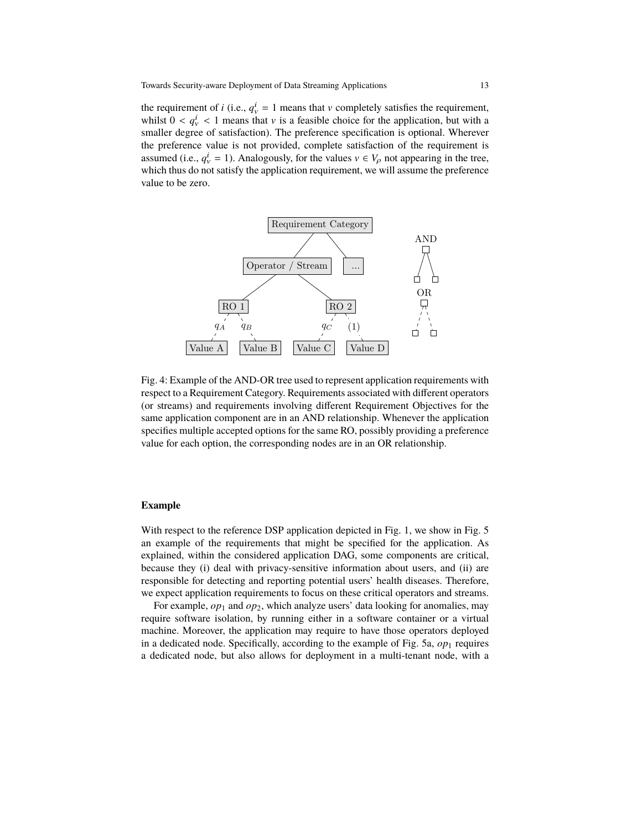the requirement of *i* (i.e.,  $q_v^i = 1$  means that *v* completely satisfies the requirement, whilst  $0 < q_v^i < 1$  means that v is a feasible choice for the application, but with a smaller degree of satisfaction). The preference specification is optional. Wherever smaller degree of satisfaction). The preference specification is optional. Wherever the preference value is not provided, complete satisfaction of the requirement is assumed (i.e.,  $q_v^i = 1$ ). Analogously, for the values  $v \in V_\rho$  not appearing in the tree, which thus do not satisfy the application requirement, we will assume the preference value to be zero.



Fig. 4: Example of the AND-OR tree used to represent application requirements with respect to a Requirement Category. Requirements associated with different operators (or streams) and requirements involving different Requirement Objectives for the same application component are in an AND relationship. Whenever the application specifies multiple accepted options for the same RO, possibly providing a preference value for each option, the corresponding nodes are in an OR relationship.

### **Example**

With respect to the reference DSP application depicted in Fig. 1, we show in Fig. 5 an example of the requirements that might be specified for the application. As explained, within the considered application DAG, some components are critical, because they (i) deal with privacy-sensitive information about users, and (ii) are responsible for detecting and reporting potential users' health diseases. Therefore, we expect application requirements to focus on these critical operators and streams.

For example,  $op_1$  and  $op_2$ , which analyze users' data looking for anomalies, may require software isolation, by running either in a software container or a virtual machine. Moreover, the application may require to have those operators deployed in a dedicated node. Specifically, according to the example of Fig.  $5a$ ,  $op<sub>1</sub>$  requires a dedicated node, but also allows for deployment in a multi-tenant node, with a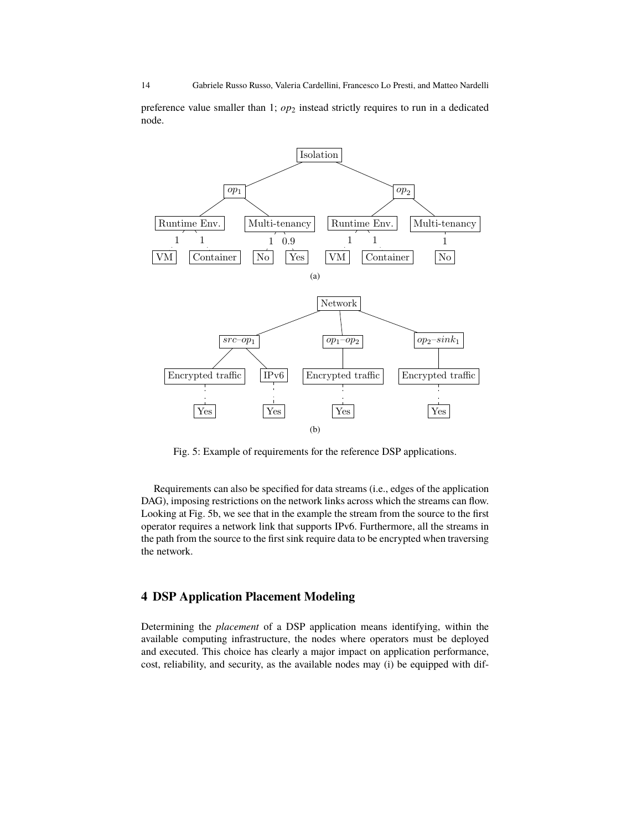preference value smaller than 1;  $op_2$  instead strictly requires to run in a dedicated node.



Fig. 5: Example of requirements for the reference DSP applications.

Requirements can also be specified for data streams (i.e., edges of the application DAG), imposing restrictions on the network links across which the streams can flow. Looking at Fig. 5b, we see that in the example the stream from the source to the first operator requires a network link that supports IPv6. Furthermore, all the streams in the path from the source to the first sink require data to be encrypted when traversing the network.

# **4 DSP Application Placement Modeling**

Determining the *placement* of a DSP application means identifying, within the available computing infrastructure, the nodes where operators must be deployed and executed. This choice has clearly a major impact on application performance, cost, reliability, and security, as the available nodes may (i) be equipped with dif-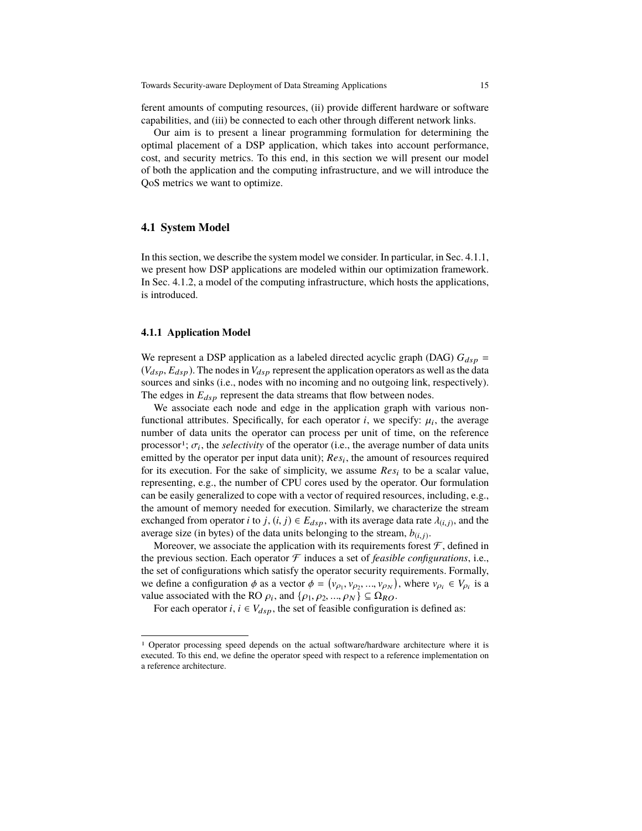ferent amounts of computing resources, (ii) provide different hardware or software capabilities, and (iii) be connected to each other through different network links.

Our aim is to present a linear programming formulation for determining the optimal placement of a DSP application, which takes into account performance, cost, and security metrics. To this end, in this section we will present our model of both the application and the computing infrastructure, and we will introduce the QoS metrics we want to optimize.

### **4.1 System Model**

In this section, we describe the system model we consider. In particular, in Sec. 4.1.1, we present how DSP applications are modeled within our optimization framework. In Sec. 4.1.2, a model of the computing infrastructure, which hosts the applications, is introduced.

#### **4.1.1 Application Model**

We represent a DSP application as a labeled directed acyclic graph (DAG)  $G_{dsp}$  =  $(V_{dsp}, E_{dsp})$ . The nodes in  $V_{dsp}$  represent the application operators as well as the data sources and sinks (i.e., nodes with no incoming and no outgoing link, respectively). The edges in  $E_{dsp}$  represent the data streams that flow between nodes.

We associate each node and edge in the application graph with various nonfunctional attributes. Specifically, for each operator *i*, we specify:  $\mu_i$ , the average<br>number of data units the operator can process per unit of time, on the reference number of data units the operator can process per unit of time, on the reference processor<sup>1</sup>;  $\sigma_i$ , the *selectivity* of the operator (i.e., the average number of data units emitted by the operator per input data unit);  $Res_i$ , the amount of resources required emitted by the operator per input data unit); *Res<sub>i</sub>*, the amount of resources required for its execution. For the sake of simplicity, we assume *Res<sub>i</sub>* to be a scalar value, representing, e.g., the number of CPU cores used by the operator. Our formulation can be easily generalized to cope with a vector of required resources, including, e.g., the amount of memory needed for execution. Similarly, we characterize the stream exchanged from operator *i* to *j*,  $(i, j) \in E_{dsp}$ , with its average data rate  $\lambda_{(i,j)}$ , and the average size (in bytes) of the data units belonging to the stream,  $h_{(i,j)}$ , and the average size (in bytes) of the data units belonging to the stream,  $b_{(i,j)}$ .<br>Moreover, we associate the application with its requirements forest

Moreover, we associate the application with its requirements forest  $\mathcal{F}$ , defined in the previous section. Each operator  $F$  induces a set of *feasible configurations*, i.e., the set of configurations which satisfy the operator security requirements. Formally, we define a configuration  $\phi$  as a vector  $\phi = (v_{\rho_1}, v_{\rho_2}, ..., v_{\rho_N})$ , where  $v_{\rho_i} \in V_{\rho_i}$  is a value associated with the RO  $\alpha_i$  and  $f_{\rho_i}$  and  $\zeta$  O  $\alpha_i$ value associated with the RO  $\rho_i$ , and  $\{\rho_1, \rho_2, ..., \rho_N\} \subseteq \Omega_{RO}$ .<br>For each operator  $i, i \in V$ , the set of feasible configuration

For each operator  $i, i \in V_{dsp}$ , the set of feasible configuration is defined as:

<sup>1</sup> Operator processing speed depends on the actual software/hardware architecture where it is executed. To this end, we define the operator speed with respect to a reference implementation on a reference architecture.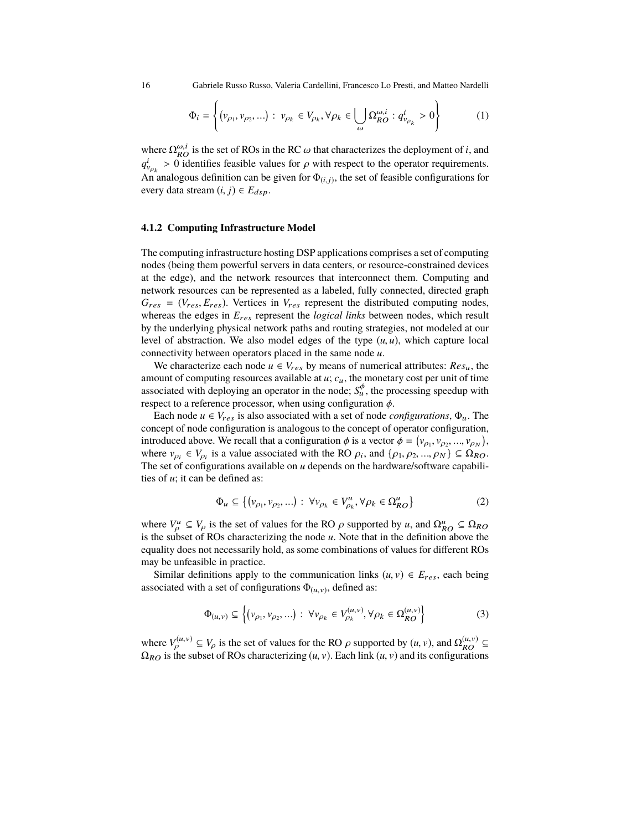16 Gabriele Russo Russo, Valeria Cardellini, Francesco Lo Presti, and Matteo Nardelli

$$
\Phi_i = \left\{ (v_{\rho_1}, v_{\rho_2}, \ldots) : v_{\rho_k} \in V_{\rho_k}, \forall \rho_k \in \bigcup_{\omega} \Omega_{RO}^{\omega, i} : q_{v_{\rho_k}}^i > 0 \right\}
$$
(1)

where  $\Omega_{RO}^{\omega,i}$  is the set of ROs in the RC  $\omega$  that characterizes the deployment of *i*, and  $\alpha^{i} > 0$  identifies fossible values for a with respect to the operator requirements  $q_{\nu_{\rho_k}}^i > 0$  identifies feasible values for  $\rho$  with respect to the operator requirements. An analogous definition can be given for  $\Phi_{(i,j)}$ , the set of feasible configurations for every data stream  $(i, j) \in E$ . every data stream  $(i, j) \in E_{dsp}$ .

### **4.1.2 Computing Infrastructure Model**

The computing infrastructure hosting DSP applications comprises a set of computing nodes (being them powerful servers in data centers, or resource-constrained devices at the edge), and the network resources that interconnect them. Computing and network resources can be represented as a labeled, fully connected, directed graph  $G_{res} = (V_{res}, E_{res})$ . Vertices in  $V_{res}$  represent the distributed computing nodes, whereas the edges in  $E_{res}$  represent the *logical links* between nodes, which result by the underlying physical network paths and routing strategies, not modeled at our level of abstraction. We also model edges of the type (*u*, *<sup>u</sup>*), which capture local connectivity between operators placed in the same node *u*.

We characterize each node  $u \in V_{res}$  by means of numerical attributes:  $Res_u$ , the amount of computing resources available at  $u$ ;  $c<sub>u</sub>$ , the monetary cost per unit of time associated with deploying an operator in the node;  $S_u^{\varphi}$ , the processing speedup with respect to a reference processor, when using configuration  $\phi$ .

Each node  $u \in V_{res}$  is also associated with a set of node *configurations*,  $\Phi_u$ . The concept of node configuration is analogous to the concept of operator configuration, introduced above. We recall that a configuration  $\phi$  is a vector  $\phi = (v_{\rho_1}, v_{\rho_2}, ..., v_{\rho_N})$ ,<br>where  $v_{\rho} \in V$  is a value associated with the BO  $\alpha_1$  and  $\{\alpha_1, \alpha_2, ..., \alpha_N\} \subseteq \Omega_{\text{DQ}}$ where  $v_{\rho_i} \in V_{\rho_i}$  is a value associated with the RO  $\rho_i$ , and  $\{\rho_1, \rho_2, ..., \rho_N\} \subseteq \Omega_{RO}$ .<br>The set of configurations available on *u* depends on the hardware/software capabili-The set of configurations available on *u* depends on the hardware/software capabilities of  $u$ ; it can be defined as:

$$
\Phi_u \subseteq \left\{ (v_{\rho_1}, v_{\rho_2}, \ldots) : \forall v_{\rho_k} \in V^u_{\rho_k}, \forall \rho_k \in \Omega^u_{RO} \right\}
$$
 (2)

where  $V_{\rho}^{u} \subseteq V_{\rho}$  is the set of values for the RO  $\rho$  supported by *u*, and  $\Omega_{RO}^{u} \subseteq \Omega_{RO}$ <br>is the subset of ROs characterizing the node *u*. Note that in the definition above the is the subset of ROs characterizing the node *u*. Note that in the definition above the equality does not necessarily hold, as some combinations of values for different ROs may be unfeasible in practice.

Similar definitions apply to the communication links  $(u, v) \in E_{res}$ , each being associated with a set of configurations  $\Phi_{(u,v)}$ , defined as:

$$
\Phi_{(u,v)} \subseteq \left\{ (\nu_{\rho_1}, \nu_{\rho_2}, \ldots) : \forall \nu_{\rho_k} \in V_{\rho_k}^{(u,v)}, \forall \rho_k \in \Omega_{RO}^{(u,v)} \right\}
$$
(3)

where  $V_p^{(u,v)} \subseteq V_p$  is the set of values for the RO  $\rho$  supported by  $(u, v)$ , and  $\Omega_{RO}^{(u, v)} \subseteq \Omega_{RO}$  is the subset of ROs characterizing  $(u, v)$ . Each link  $(u, v)$  and its configurations  $\Omega_{RO}$  is the subset of ROs characterizing  $(u, v)$ . Each link  $(u, v)$  and its configurations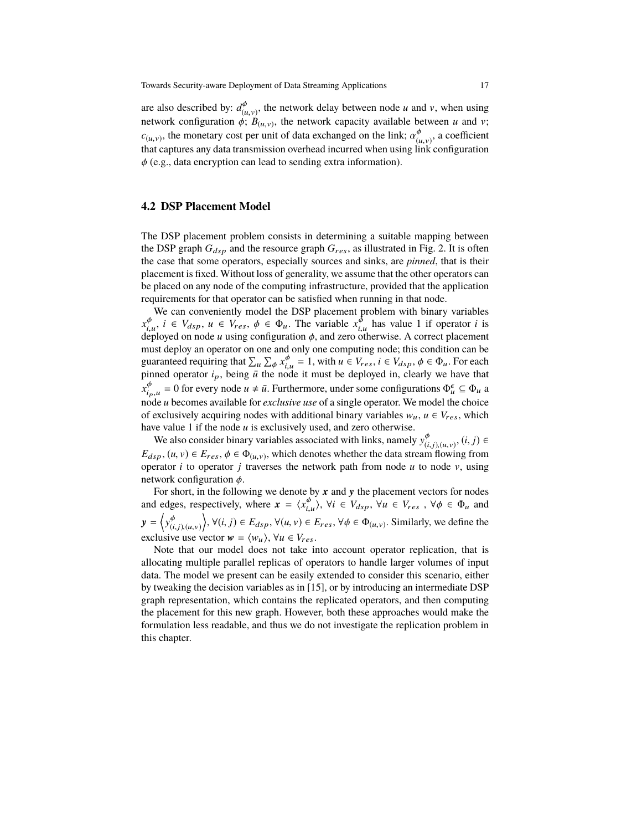are also described by:  $d_{(u,v)}^{\varphi}$ , the network delay between node *u* and *v*, when using network configuration  $\phi$ ;  $B_{(u,v)}$ , the network capacity available between *u* and *v*;<br>network configuration  $\phi$ ;  $B_{(u,v)}$ , the network capacity available between *u* and *v*;  $c_{(u,v)}$ , the monetary cost per unit of data exchanged on the link;  $\alpha_{(u,v)}^{\psi}$ , a coefficient  $c_{(u,v)}$ , are monetary cost per unit of data exeminged on the nik,  $a_{(u,v)}$ , a coemetent that captures any data transmission overhead incurred when using link configuration  $\phi$  (e.g., data encryption can lead to sending extra information).

# **4.2 DSP Placement Model**

The DSP placement problem consists in determining a suitable mapping between the DSP graph  $G_{dsp}$  and the resource graph  $G_{res}$ , as illustrated in Fig. 2. It is often the case that some operators, especially sources and sinks, are *pinned*, that is their placement is fixed. Without loss of generality, we assume that the other operators can be placed on any node of the computing infrastructure, provided that the application requirements for that operator can be satisfied when running in that node.

We can conveniently model the DSP placement problem with binary variables  $x_{i,\mu}^{\varphi}$ ,  $i \in V_{dsp}$ ,  $u \in V_{res}$ ,  $\phi \in \Phi_u$ . The variable  $x_{i,\mu}^{\varphi}$  has value 1 if operator *i* is<br>deployed on node *u* using configuration  $\phi$  and zero otherwise. A correct placement  $\alpha_{i,u}$ ,  $i \in \text{v}_\text{asp}$ ,  $u \in \text{v}_\text{res}$ ,  $\varphi \in \varphi_u$ . The variable  $\alpha_{i,u}$  has value 1 if operator *i* is deployed on node *u* using configuration  $\phi$ , and zero otherwise. A correct placement must deploy an operator must deploy an operator on one and only one computing node; this condition can be guaranteed requiring that  $\sum_{u} \sum_{\phi} x_{i,u}^{\phi} = 1$ , with  $u \in V_{res}$ ,  $i \in V_{dsp}$ ,  $\phi \in \Phi_u$ . For each pinned operator *i* being  $\bar{u}$  the node it must be deployed in clearly we have that pinned operator  $i_p$ , being  $\overline{u}$  the node it must be deployed in, clearly we have that  $x_{i_p,u}^{\phi} = 0$  for every node  $u \neq \bar{u}$ . Furthermore, under some configurations  $\Phi_u^{\epsilon} \subseteq \Phi_u$  and  $\Phi_u^{\epsilon}$  and  $\Phi_u^{\epsilon}$  and  $\Phi_u^{\epsilon}$  and  $\Phi_u^{\epsilon}$  and  $\Phi_u^{\epsilon}$  and  $\Phi_u^{\epsilon}$  and  $\Phi_u^{\epsilon}$  and  $\Phi_u^{\epsilon}$  and  $\Phi_u^{\epsilon$ node *u* becomes available for *exclusive use* of a single operator. We model the choice of exclusively acquiring nodes with additional binary variables  $w_u$ ,  $u \in V_{res}$ , which have value 1 if the node *u* is exclusively used, and zero otherwise.

We also consider binary variables associated with links, namely  $y_{(i,j),(u,v)}^{\phi}$ ,  $(i,j) \in$ <br>(*i*, *i*) ∈  $F_{(i,j)}^{\phi}$  are which denotes whether the data stream flaving from  $E_{dsp}$ ,  $(u, v) \in E_{res}$ ,  $\phi \in \Phi_{(u, v)}$ , which denotes whether the data stream flowing from<br>operator *i* to operator *i* traverses the network path from node *u* to node *v* using operator  $i$  to operator  $j$  traverses the network path from node  $u$  to node  $v$ , using network configuration  $\phi$ .

For short, in the following we denote by  $x$  and  $y$  the placement vectors for nodes and edges, respectively, where  $x = \langle x_{i,u}^{\phi} \rangle$ ,  $\forall i \in V_{dsp}$ ,  $\forall u \in V_{res}$ ,  $\forall \phi \in \Phi_u$  and i,u  $y = \left\langle y_{(i,j),(u,v)}^{\phi} \right\rangle$  $\left\langle \forall (i, j) \in E_{dsp}, \forall (u, v) \in E_{res}, \forall \phi \in \Phi_{(u, v)}$ . Similarly, we define the exclusive use vector  $w = \langle w_u \rangle$ ,  $\forall u \in V_{res}$ .

Note that our model does not take into account operator replication, that is allocating multiple parallel replicas of operators to handle larger volumes of input data. The model we present can be easily extended to consider this scenario, either by tweaking the decision variables as in [15], or by introducing an intermediate DSP graph representation, which contains the replicated operators, and then computing the placement for this new graph. However, both these approaches would make the formulation less readable, and thus we do not investigate the replication problem in this chapter.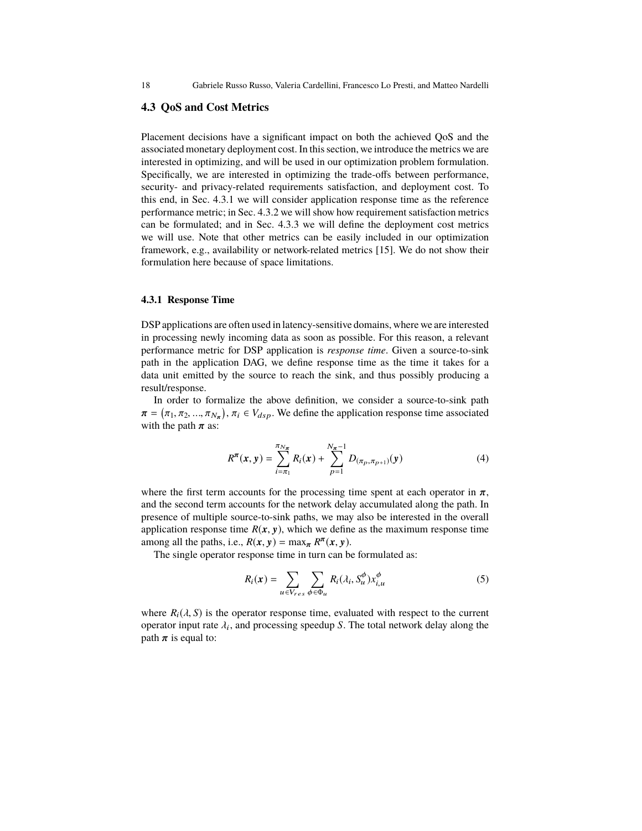### **4.3 QoS and Cost Metrics**

Placement decisions have a significant impact on both the achieved QoS and the associated monetary deployment cost. In this section, we introduce the metrics we are interested in optimizing, and will be used in our optimization problem formulation. Specifically, we are interested in optimizing the trade-offs between performance, security- and privacy-related requirements satisfaction, and deployment cost. To this end, in Sec. 4.3.1 we will consider application response time as the reference performance metric; in Sec. 4.3.2 we will show how requirement satisfaction metrics can be formulated; and in Sec. 4.3.3 we will define the deployment cost metrics we will use. Note that other metrics can be easily included in our optimization framework, e.g., availability or network-related metrics [15]. We do not show their formulation here because of space limitations.

### **4.3.1 Response Time**

DSP applications are often used in latency-sensitive domains, where we are interested in processing newly incoming data as soon as possible. For this reason, a relevant performance metric for DSP application is *response time*. Given a source-to-sink path in the application DAG, we define response time as the time it takes for a data unit emitted by the source to reach the sink, and thus possibly producing a result/response.

In order to formalize the above definition, we consider a source-to-sink path  $\pi = (\pi_1, \pi_2, ..., \pi_{N_{\pi}}), \pi_i \in V_{dsp}$ . We define the application response time associated with the path  $\pi$  as: with the path  $\pi$  as:

$$
R^{\pi}(x, y) = \sum_{i=\pi_1}^{\pi_{N_{\pi}}} R_i(x) + \sum_{p=1}^{N_{\pi}-1} D_{(\pi_p, \pi_{p+1})}(y)
$$
(4)

where the first term accounts for the processing time spent at each operator in  $\pi$ . and the second term accounts for the network delay accumulated along the path. In presence of multiple source-to-sink paths, we may also be interested in the overall application response time  $R(x, y)$ , which we define as the maximum response time among all the paths, i.e.,  $R(x, y) = \max_{\pi} R^{\pi}(x, y)$ .<br>The single operator response time in turn can be

The single operator response time in turn can be formulated as:

$$
R_i(\mathbf{x}) = \sum_{u \in V_{res}} \sum_{\phi \in \Phi_u} R_i(\lambda_i, S_u^{\phi}) x_{i,u}^{\phi}
$$
 (5)

where  $R_i(\lambda, S)$  is the operator response time, evaluated with respect to the current operator input rate  $\lambda_i$ , and processing speedup *S*. The total network delay along the nath  $\pi$  is equal to: path  $\pi$  is equal to: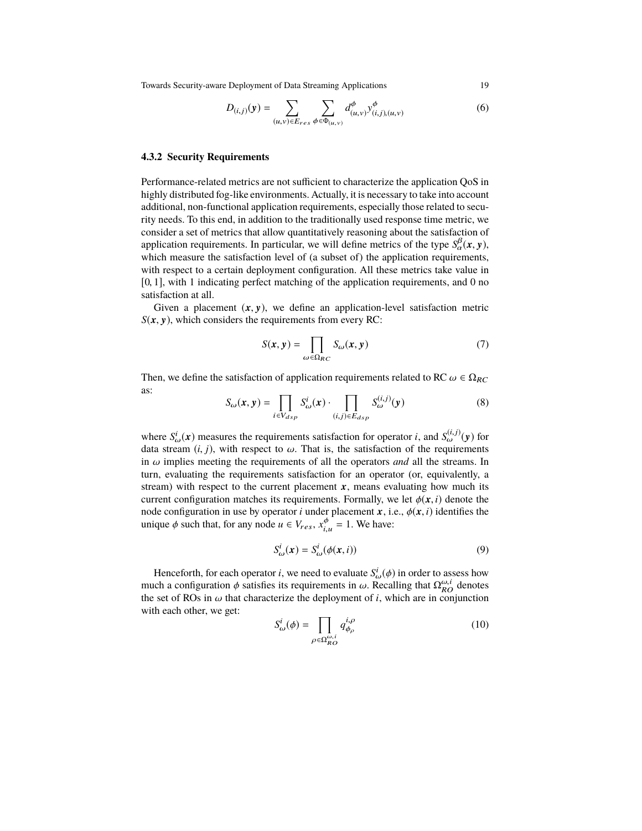Towards Security-aware Deployment of Data Streaming Applications 19

$$
D_{(i,j)}(\mathbf{y}) = \sum_{(u,v)\in E_{res}} \sum_{\phi \in \Phi_{(u,v)}} d_{(u,v)}^{\phi} y_{(i,j),(u,v)}^{\phi}
$$
(6)

#### **4.3.2 Security Requirements**

Performance-related metrics are not sufficient to characterize the application QoS in highly distributed fog-like environments. Actually, it is necessary to take into account additional, non-functional application requirements, especially those related to security needs. To this end, in addition to the traditionally used response time metric, we consider a set of metrics that allow quantitatively reasoning about the satisfaction of application requirements. In particular, we will define metrics of the type  $S^{\beta}_{\alpha}(x, y)$ , which measure the satisfaction level of (a subset of) the application requirements which measure the satisfaction level of (a subset of) the application requirements, with respect to a certain deployment configuration. All these metrics take value in [0, 1], with 1 indicating perfect matching of the application requirements, and 0 no satisfaction at all.

Given a placement  $(x, y)$ , we define an application-level satisfaction metric  $S(x, y)$ , which considers the requirements from every RC:

$$
S(x, y) = \prod_{\omega \in \Omega_{RC}} S_{\omega}(x, y) \tag{7}
$$

Then, we define the satisfaction of application requirements related to RC  $\omega \in \Omega_{RC}$ as:

$$
S_{\omega}(\mathbf{x}, \mathbf{y}) = \prod_{i \in V_{dsp}} S_{\omega}^i(\mathbf{x}) \cdot \prod_{(i,j) \in E_{dsp}} S_{\omega}^{(i,j)}(\mathbf{y})
$$
(8)

where  $S_{\omega}^{i}(x)$  measures the requirements satisfaction for operator *i*, and  $S_{\omega}^{(i,j)}(y)$  for data stream *(i, i)* with respect to  $\omega$ . That is the satisfaction of the requirements data stream  $(i, j)$ , with respect to  $\omega$ . That is, the satisfaction of the requirements in  $\omega$  implies meeting the requirements of all the operators *and* all the streams. In turn, evaluating the requirements satisfaction for an operator (or, equivalently, a stream) with respect to the current placement  $x$ , means evaluating how much its current configuration matches its requirements. Formally, we let  $\phi(x, i)$  denote the node configuration in use by operator *i* under placement  $x$ , i.e.,  $\phi(x, i)$  identifies the unique  $\phi$  such that, for any node  $u \in V_{res}$ ,  $x_{i,u}^{\phi} = 1$ . We have:

$$
S_{\omega}^{i}(x) = S_{\omega}^{i}(\phi(x, i))
$$
\n(9)

Henceforth, for each operator *i*, we need to evaluate  $S_{\omega}^{i}(\phi)$  in order to assess how ch a configuration  $\phi$  satisfies its requirements in  $\omega$ . Recalling that  $O^{\omega,i}$  denotes much a configuration  $\phi$  satisfies its requirements in  $\omega$ . Recalling that  $\Omega_{RO}^{\omega,i}$  denotes the set of ROs in  $\omega$  that characterize the deployment of *i*, which are in conjunction the set of ROs in  $\omega$  that characterize the deployment of *i*, which are in conjunction with each other, we get:

$$
S_{\omega}^{i}(\phi) = \prod_{\rho \in \Omega_{RO}^{\omega, i}} q_{\phi_{\rho}}^{i, \rho}
$$
 (10)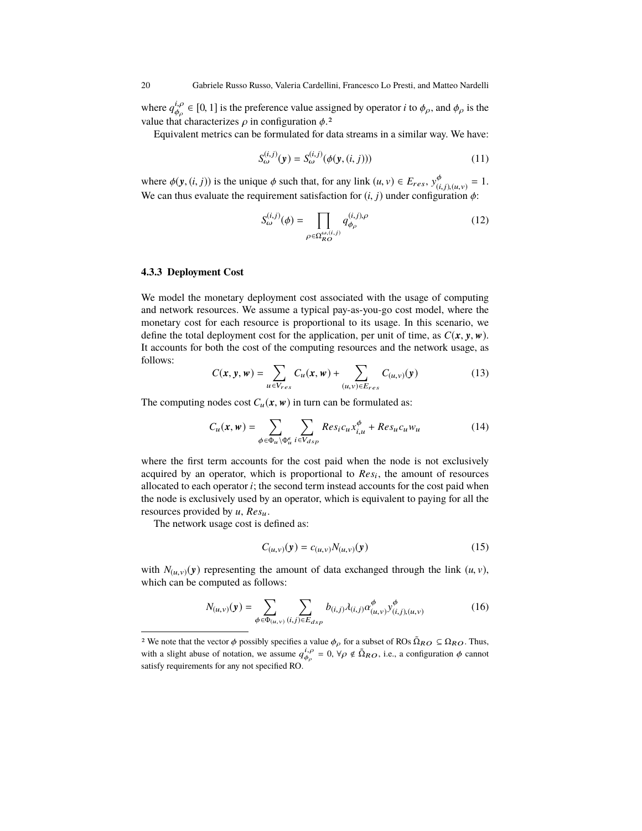where  $q_{\phi}^{i,\rho} \in [0, 1]$  is the preference value assigned by operator *i* to  $\phi_{\rho}$ , and  $\phi_{\rho}$  is the value that abaracterizes a in configuration 4.2 value that characterizes  $\rho$  in configuration  $\phi$ .<sup>2</sup><br>Foutbries can be formulated for d

Equivalent metrics can be formulated for data streams in a similar way. We have:

$$
S_{\omega}^{(i,j)}(\mathbf{y}) = S_{\omega}^{(i,j)}(\phi(\mathbf{y}, (i,j)))
$$
\n(11)

where  $\phi(\mathbf{y}, (i, j))$  is the unique  $\phi$  such that, for any link  $(u, v) \in E_{res}$ ,  $y_{(i,j),(u,v)}^{\phi} = 1$ . Where  $\varphi(y, (i, j))$  is the unique  $\varphi$  such that, for any link  $(u, v) \in Lres$ ,  $y_{(i,j),(u,v)}$  –<br>We can thus evaluate the requirement satisfaction for  $(i, j)$  under configuration  $\phi$ :

$$
S_{\omega}^{(i,j)}(\phi) = \prod_{\rho \in \Omega_{RO}^{\omega,(i,j)}} q_{\phi_{\rho}}^{(i,j),\rho}
$$
 (12)

#### **4.3.3 Deployment Cost**

We model the monetary deployment cost associated with the usage of computing and network resources. We assume a typical pay-as-you-go cost model, where the monetary cost for each resource is proportional to its usage. In this scenario, we define the total deployment cost for the application, per unit of time, as  $C(x, y, w)$ . It accounts for both the cost of the computing resources and the network usage, as follows:

$$
C(x, y, w) = \sum_{u \in V_{res}} C_u(x, w) + \sum_{(u, v) \in E_{res}} C_{(u, v)}(y)
$$
 (13)

The computing nodes cost  $C_u(x, w)$  in turn can be formulated as:

$$
C_u(\mathbf{x}, \mathbf{w}) = \sum_{\phi \in \Phi_u \backslash \Phi_u^{\epsilon}} \sum_{i \in V_{dsp}} Res_{i} c_u x_{i,u}^{\phi} + Res_u c_u w_u \tag{14}
$$

where the first term accounts for the cost paid when the node is not exclusively acquired by an operator, which is proportional to *Res*<sup>i</sup> , the amount of resources allocated to each operator *i*; the second term instead accounts for the cost paid when the node is exclusively used by an operator, which is equivalent to paying for all the resources provided by *u*, *Res*u.

The network usage cost is defined as:

$$
C_{(u,v)}(y) = c_{(u,v)} N_{(u,v)}(y)
$$
\n(15)

with  $N_{(u,v)}(y)$  representing the amount of data exchanged through the link  $(u, v)$ , which can be computed as follows:

$$
N_{(u,v)}(\mathbf{y}) = \sum_{\phi \in \Phi_{(u,v)}} \sum_{(i,j) \in E_{dsp}} b_{(i,j)} \lambda_{(i,j)} \alpha^{\phi}_{(u,v)} y^{\phi}_{(i,j),(u,v)}
$$
(16)

<sup>&</sup>lt;sup>2</sup> We note that the vector  $\phi$  possibly specifies a value  $\phi_\rho$  for a subset of ROs  $\tilde{\Omega}_{RO} \subseteq \Omega_{RO}$ . Thus, with a slight abuse of notation, we assume  $q_{\phi_{\rho}}^{i,\rho} = 0$ ,  $\forall \rho \notin \tilde{\Omega}_{RO}$ , i.e., a configuration  $\phi$  cannot satisfy requirements for any not specified RO.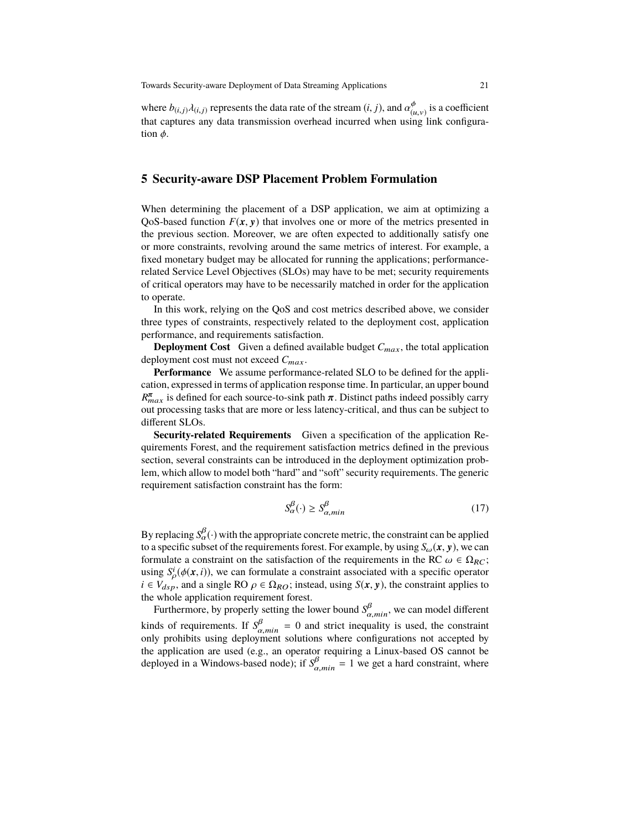where  $b_{(i,j)}\lambda_{(i,j)}$  represents the data rate of the stream  $(i, j)$ , and  $\alpha_{(i, y)}^{\phi}$  is a coefficient that contures any data transmission quarkeed inquired when  $\min_{(i,j)}$  link configure. where  $v_{(i,j)} \alpha_{(i,j)}$  represents the data rate of the stream  $(v, j)$ , and  $u_{(u,v)}$  is a coefficient<br>that captures any data transmission overhead incurred when using link configuration  $\phi$ .

## **5 Security-aware DSP Placement Problem Formulation**

When determining the placement of a DSP application, we aim at optimizing a QoS-based function  $F(x, y)$  that involves one or more of the metrics presented in the previous section. Moreover, we are often expected to additionally satisfy one or more constraints, revolving around the same metrics of interest. For example, a fixed monetary budget may be allocated for running the applications; performancerelated Service Level Objectives (SLOs) may have to be met; security requirements of critical operators may have to be necessarily matched in order for the application to operate.

In this work, relying on the QoS and cost metrics described above, we consider three types of constraints, respectively related to the deployment cost, application performance, and requirements satisfaction.

**Deployment Cost** Given a defined available budget  $C_{max}$ , the total application deployment cost must not exceed *C*max.

**Performance** We assume performance-related SLO to be defined for the application, expressed in terms of application response time. In particular, an upper bound  $R_{max}^{\pi}$  is defined for each source-to-sink path  $\pi$ . Distinct paths indeed possibly carry<br>out processing tasks that are more or less latency-critical, and thus can be subject to out processing tasks that are more or less latency-critical, and thus can be subject to different SLOs.

**Security-related Requirements** Given a specification of the application Requirements Forest, and the requirement satisfaction metrics defined in the previous section, several constraints can be introduced in the deployment optimization problem, which allow to model both "hard" and "soft" security requirements. The generic requirement satisfaction constraint has the form:

$$
S_{\alpha}^{\beta}(\cdot) \ge S_{\alpha,min}^{\beta} \tag{17}
$$

By replacing  $S^B_{\alpha}(\cdot)$  with the appropriate concrete metric, the constraint can be applied<br>to a specific subset of the requirements forget. For example, by using  $S_{\alpha}(\mathbf{x}, \mathbf{y})$ , we can to a specific subset of the requirements forest. For example, by using  $S_{\omega}(x, y)$ , we can formulate a constraint on the satisfaction of the requirements in the RC  $\omega \in \Omega_{RC}$ ; using  $S^i_\rho(\phi(x, i))$ , we can formulate a constraint associated with a specific operator  $i \in V$ , and a single BO  $\rho \in \Omega$  positive to using  $S(x, y)$  the constraint applies to  $i \in V_{dsp}$ , and a single RO  $\rho \in \Omega_{RO}$ ; instead, using  $S(x, y)$ , the constraint applies to the whole application requirement forest the whole application requirement forest.

Furthermore, by properly setting the lower bound  $S_{\alpha,min}^{\rho}$ , we can model different kinds of requirements. If  $S_{\alpha,min}^{\beta} = 0$  and strict inequality is used, the constraint only prohibits using deployment solutions where configurations not accepted by the application are used (e.g., an operator requiring a Linux-based OS cannot be deployed in a Windows-based node); if  $S_{\alpha,min}^P = 1$  we get a hard constraint, where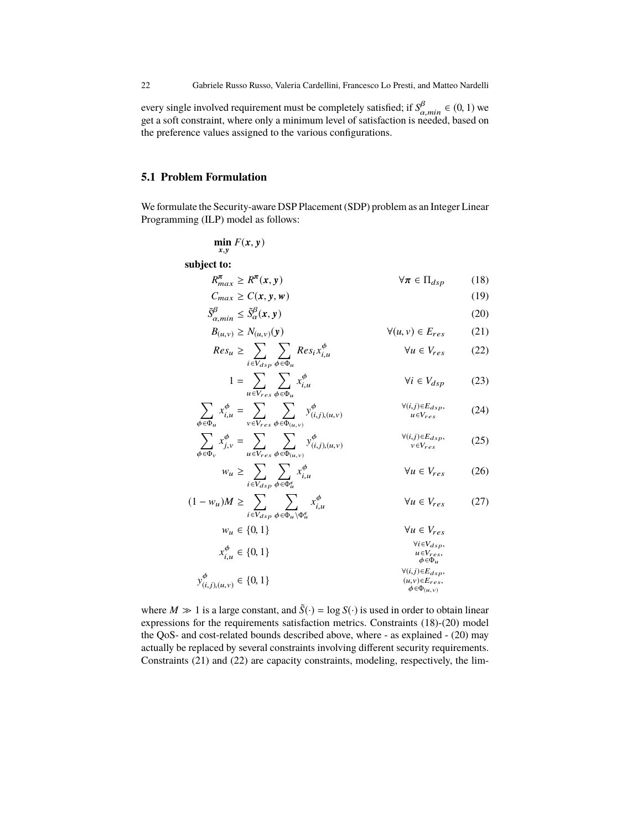22 Gabriele Russo Russo, Valeria Cardellini, Francesco Lo Presti, and Matteo Nardelli

every single involved requirement must be completely satisfied; if  $S_{\alpha,min}^{\beta} \in (0,1)$  we get a soft constraint, where only a minimum level of satisfaction is needed, based on the preference values assigned to the various configurations.

## **5.1 Problem Formulation**

We formulate the Security-aware DSP Placement (SDP) problem as an Integer Linear Programming (ILP) model as follows:

> **min**  $\min_{x,y} F(x, y)$

**subject to:**

$$
R_{max}^{\pi} \ge R^{\pi}(x, y) \qquad \forall \pi \in \Pi_{dsp} \qquad (18)
$$

$$
C_{max} \ge C(\mathbf{x}, \mathbf{y}, \mathbf{w})\tag{19}
$$

$$
\tilde{S}_{\alpha,min}^{\beta} \le \tilde{S}_{\alpha}^{\beta}(x, y)
$$
\n(20)

$$
B_{(u,v)} \ge N_{(u,v)}(y) \qquad \forall (u,v) \in E_{res} \qquad (21)
$$

$$
Res_u \ge \sum_{i \in V_{dsp}} \sum_{\phi \in \Phi_u} Res_i x_{i,u}^{\phi} \qquad \forall u \in V_{res}
$$
 (22)

$$
1 = \sum_{u \in V_{res}} \sum_{\phi \in \Phi_u} x_{i,u}^{\phi} \qquad \qquad \forall i \in V_{dsp} \qquad (23)
$$

$$
\sum_{\phi \in \Phi_u} x_{i,u}^{\phi} = \sum_{v \in V_{res}} \sum_{\phi \in \Phi_{(u,v)}} y_{(i,j),(u,v)}^{\phi} \qquad \text{v}_{u \in V_{res}}^{\forall (i,j) \in E_{dsp}},\tag{24}
$$

$$
\sum_{\phi \in \Phi_{\nu}} x_{j,\nu}^{\phi} = \sum_{u \in V_{res}} \sum_{\phi \in \Phi_{(u,v)}} y_{(i,j),(u,v)}^{\phi} \qquad \qquad \forall (i,j) \in E_{dsp},
$$
\n(25)

$$
w_u \ge \sum_{i \in V_{dsp}} \sum_{\phi \in \Phi_u^{\epsilon}} x_{i,u}^{\phi} \qquad \forall u \in V_{res} \qquad (26)
$$

 $∀i ∈ V_{disp,}$ <br> $u ∈ V_{r}$ 

$$
(1 - w_u)M \ge \sum_{i \in V_{dsp}} \sum_{\phi \in \Phi_u \setminus \Phi_u^{\epsilon}} x_{i,u}^{\phi} \qquad \forall u \in V_{res} \qquad (27)
$$

$$
w_u \in \{0, 1\} \qquad \qquad \forall u \in V_{res}
$$
  

$$
x_{i,u}^{\phi} \in \{0, 1\} \qquad \qquad \forall i \in V_{res},
$$
  

$$
w \in V_{res},
$$
  

$$
\phi \in \Phi_u
$$

$$
x_{i,u}^{\psi} \in \{0, 1\}
$$
  
\n
$$
y_{(i,j),(u,v)}^{\phi} \in \{0, 1\}
$$
  
\n
$$
y_{(i,j),(u,v)}^{\phi} \in \{0, 1\}
$$
  
\n
$$
y_{(i,j),(u,v)}^{\phi} \in \{0, 1\}
$$
  
\n
$$
y_{(i,j),(u,v)}^{\phi} \in \{0, 1\}
$$

where  $M \gg 1$  is a large constant, and  $\tilde{S}(\cdot) = \log S(\cdot)$  is used in order to obtain linear expressions for the requirements satisfaction metrics. Constraints (18)-(20) model the QoS- and cost-related bounds described above, where - as explained - (20) may actually be replaced by several constraints involving different security requirements. Constraints (21) and (22) are capacity constraints, modeling, respectively, the lim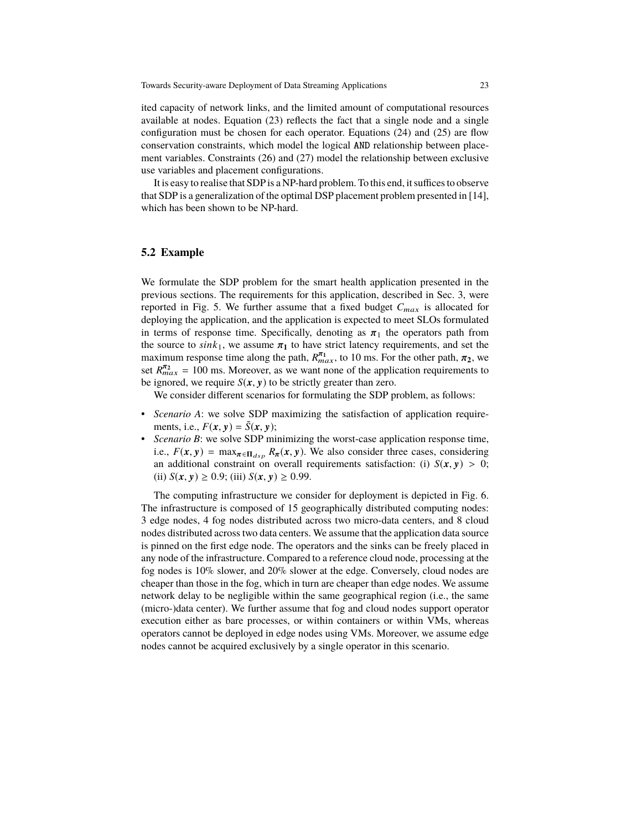ited capacity of network links, and the limited amount of computational resources available at nodes. Equation (23) reflects the fact that a single node and a single configuration must be chosen for each operator. Equations (24) and (25) are flow conservation constraints, which model the logical AND relationship between placement variables. Constraints (26) and (27) model the relationship between exclusive use variables and placement configurations.

It is easy to realise that SDP is a NP-hard problem. To this end, it suffices to observe that SDP is a generalization of the optimal DSP placement problem presented in [14], which has been shown to be NP-hard.

### **5.2 Example**

We formulate the SDP problem for the smart health application presented in the previous sections. The requirements for this application, described in Sec. 3, were reported in Fig. 5. We further assume that a fixed budget  $C_{max}$  is allocated for deploying the application, and the application is expected to meet SLOs formulated in terms of response time. Specifically, denoting as  $\pi_1$  the operators path from the source to  $sink_1$ , we assume  $\pi_1$  to have strict latency requirements, and set the maximum response time along the path,  $R_{max}^{\pi_1}$ , to 10 ms. For the other path,  $\pi_2$ , we<br>set  $R^{\pi_2} = 100$  ms. Moreover, as we want none of the application requirements to set  $R_{max}^{\pi_2}$  = 100 ms. Moreover, as we want none of the application requirements to be ignored, we require  $S(x, y)$  to be strictly greater than zero.

We consider different scenarios for formulating the SDP problem, as follows:

- *Scenario A*: we solve SDP maximizing the satisfaction of application requirements, i.e.,  $F(x, y) = \tilde{S}(x, y)$ ;
- *Scenario B*: we solve SDP minimizing the worst-case application response time, i.e.,  $F(x, y) = \max_{\pi \in \Pi_{d,sp}} R_{\pi}(x, y)$ . We also consider three cases, considering an additional constraint on overall requirements satisfaction: (i)  $S(x, y) > 0$ ; (ii)  $S(x, y) \ge 0.9$ ; (iii)  $S(x, y) \ge 0.99$ .

The computing infrastructure we consider for deployment is depicted in Fig. 6. The infrastructure is composed of 15 geographically distributed computing nodes: 3 edge nodes, 4 fog nodes distributed across two micro-data centers, and 8 cloud nodes distributed across two data centers. We assume that the application data source is pinned on the first edge node. The operators and the sinks can be freely placed in any node of the infrastructure. Compared to a reference cloud node, processing at the fog nodes is 10% slower, and 20% slower at the edge. Conversely, cloud nodes are cheaper than those in the fog, which in turn are cheaper than edge nodes. We assume network delay to be negligible within the same geographical region (i.e., the same (micro-)data center). We further assume that fog and cloud nodes support operator execution either as bare processes, or within containers or within VMs, whereas operators cannot be deployed in edge nodes using VMs. Moreover, we assume edge nodes cannot be acquired exclusively by a single operator in this scenario.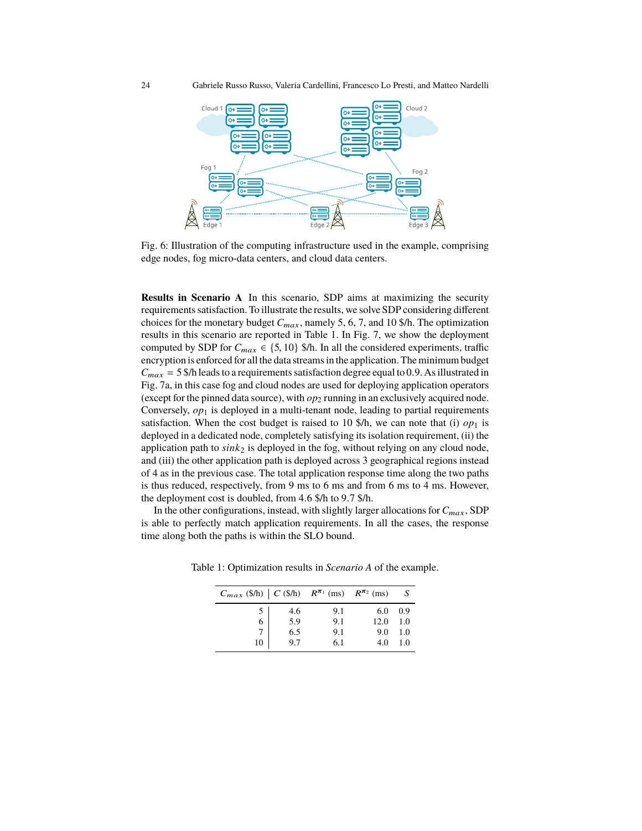

Fig. 6: Illustration of the computing infrastructure used in the example, comprising edge nodes, fog micro-data centers, and cloud data centers.

**Results in Scenario A** In this scenario, SDP aims at maximizing the security requirements satisfaction. To illustrate the results, we solve SDP considering different choices for the monetary budget  $C_{max}$ , namely 5, 6, 7, and 10 \$/h. The optimization results in this scenario are reported in Table 1. In Fig. 7, we show the deployment computed by SDP for  $C_{max} \in \{5, 10\}$  \$/h. In all the considered experiments, traffic encryption is enforced for all the data streams in the application. The minimum budget  $C_{max} = 5$  \$/h leads to a requirements satisfaction degree equal to 0.9. As illustrated in Fig. 7a, in this case fog and cloud nodes are used for deploying application operators (except for the pinned data source), with  $op<sub>2</sub>$  running in an exclusively acquired node. Conversely,  $op_1$  is deployed in a multi-tenant node, leading to partial requirements satisfaction. When the cost budget is raised to 10 \$/h, we can note that (i)  $op_1$  is deployed in a dedicated node, completely satisfying its isolation requirement, (ii) the application path to  $sink_2$  is deployed in the fog, without relying on any cloud node, and (iii) the other application path is deployed across 3 geographical regions instead of 4 as in the previous case. The total application response time along the two paths is thus reduced, respectively, from 9 ms to 6 ms and from 6 ms to 4 ms. However, the deployment cost is doubled, from <sup>4</sup>.<sup>6</sup> \$/h to <sup>9</sup>.<sup>7</sup> \$/h.

In the other configurations, instead, with slightly larger allocations for  $C_{max}$ , SDP is able to perfectly match application requirements. In all the cases, the response time along both the paths is within the SLO bound.

| $C_{max}$ (\$/h) $C$ (\$/h) $R^{\pi_1}$ (ms) $R^{\pi_2}$ (ms) |     |     |      | S   |
|---------------------------------------------------------------|-----|-----|------|-----|
|                                                               | 4.6 | 9.1 | 6.0  | 0.9 |
| 6                                                             | 5.9 | 9.1 | 12.0 | 1.0 |
|                                                               | 6.5 | 9.1 | 9.0  | 1.0 |
| 10                                                            | 9.7 | 6.1 | 4.0  | 1.0 |

Table 1: Optimization results in *Scenario A* of the example.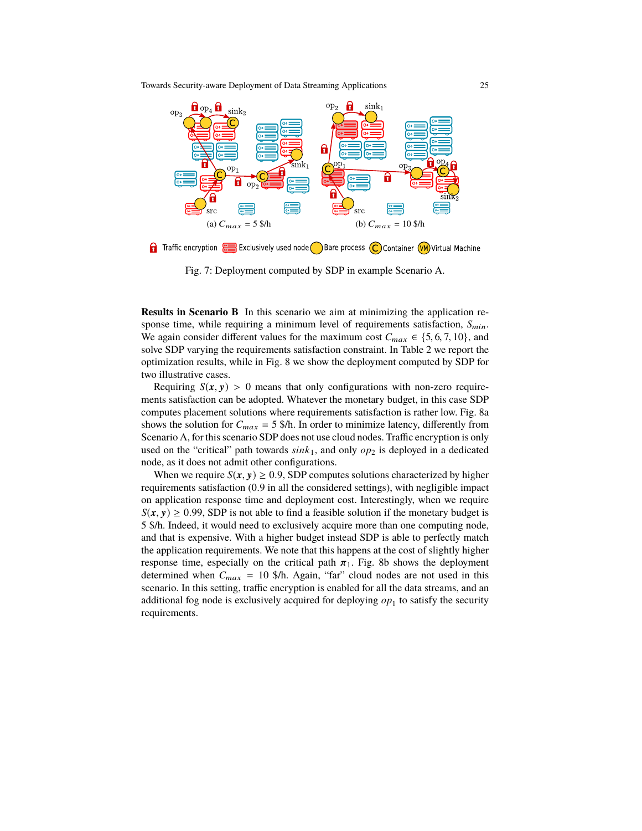Towards Security-aware Deployment of Data Streaming Applications 25



Fig. 7: Deployment computed by SDP in example Scenario A.

**Results in Scenario B** In this scenario we aim at minimizing the application response time, while requiring a minimum level of requirements satisfaction,  $S_{min}$ . We again consider different values for the maximum cost  $C_{max} \in \{5, 6, 7, 10\}$ , and solve SDP varying the requirements satisfaction constraint. In Table 2 we report the optimization results, while in Fig. 8 we show the deployment computed by SDP for two illustrative cases.

Requiring  $S(x, y) > 0$  means that only configurations with non-zero requirements satisfaction can be adopted. Whatever the monetary budget, in this case SDP computes placement solutions where requirements satisfaction is rather low. Fig. 8a shows the solution for  $C_{max} = 5$  \$/h. In order to minimize latency, differently from Scenario A, for this scenario SDP does not use cloud nodes. Traffic encryption is only used on the "critical" path towards *sink*1, and only *op*<sup>2</sup> is deployed in a dedicated node, as it does not admit other configurations.

When we require  $S(x, y) \ge 0.9$ , SDP computes solutions characterized by higher requirements satisfaction (0.<sup>9</sup> in all the considered settings), with negligible impact on application response time and deployment cost. Interestingly, when we require  $S(x, y) \ge 0.99$ , SDP is not able to find a feasible solution if the monetary budget is 5 \$/h. Indeed, it would need to exclusively acquire more than one computing node, and that is expensive. With a higher budget instead SDP is able to perfectly match the application requirements. We note that this happens at the cost of slightly higher response time, especially on the critical path  $\pi_1$ . Fig. 8b shows the deployment determined when  $C_{max} = 10$  \$/h. Again, "far" cloud nodes are not used in this scenario. In this setting, traffic encryption is enabled for all the data streams, and an additional fog node is exclusively acquired for deploying  $op<sub>1</sub>$  to satisfy the security requirements.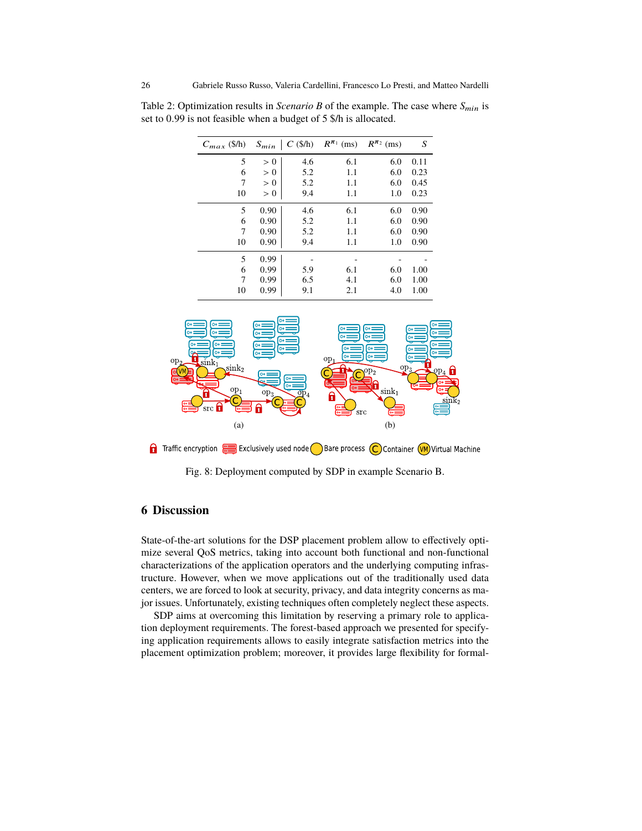| $C_{max}$ (\$/h) |      | $S_{min}$ $C$ (\$/h) | $R^{\pi_1}$ (ms) | $R^{\pi_2}$ (ms) | S    |
|------------------|------|----------------------|------------------|------------------|------|
| 5                | > 0  | 4.6                  | 6.1              | 6.0              | 0.11 |
| 6                | > 0  | 5.2                  | 1.1              | 6.0              | 0.23 |
| 7                | > 0  | 5.2                  | 1.1              | 6.0              | 0.45 |
| 10               | > 0  | 9.4                  | 1.1              | 1.0              | 0.23 |
| 5                | 0.90 | 4.6                  | 6.1              | 6.0              | 0.90 |
| 6                | 0.90 | 5.2                  | 1.1              | 6.0              | 0.90 |
| 7                | 0.90 | 5.2                  | 1.1              | 6.0              | 0.90 |
| 10               | 0.90 | 9.4                  | 1.1              | 1.0              | 0.90 |
| 5                | 0.99 |                      |                  |                  |      |
| 6                | 0.99 | 5.9                  | 6.1              | 6.0              | 1.00 |
| 7                | 0.99 | 6.5                  | 4.1              | 6.0              | 1.00 |
| 10               | 0.99 | 9.1                  | 2.1              | 4.0              | 1.00 |

Table 2: Optimization results in *Scenario B* of the example. The case where  $S_{min}$  is set to <sup>0</sup>.<sup>99</sup> is not feasible when a budget of <sup>5</sup> \$/h is allocated.



**n** Traffic encryption **Exclusively used node** Bare process **C** Container (VM) Virtual Machine

Fig. 8: Deployment computed by SDP in example Scenario B.

# **6 Discussion**

State-of-the-art solutions for the DSP placement problem allow to effectively optimize several QoS metrics, taking into account both functional and non-functional characterizations of the application operators and the underlying computing infrastructure. However, when we move applications out of the traditionally used data centers, we are forced to look at security, privacy, and data integrity concerns as major issues. Unfortunately, existing techniques often completely neglect these aspects.

SDP aims at overcoming this limitation by reserving a primary role to application deployment requirements. The forest-based approach we presented for specifying application requirements allows to easily integrate satisfaction metrics into the placement optimization problem; moreover, it provides large flexibility for formal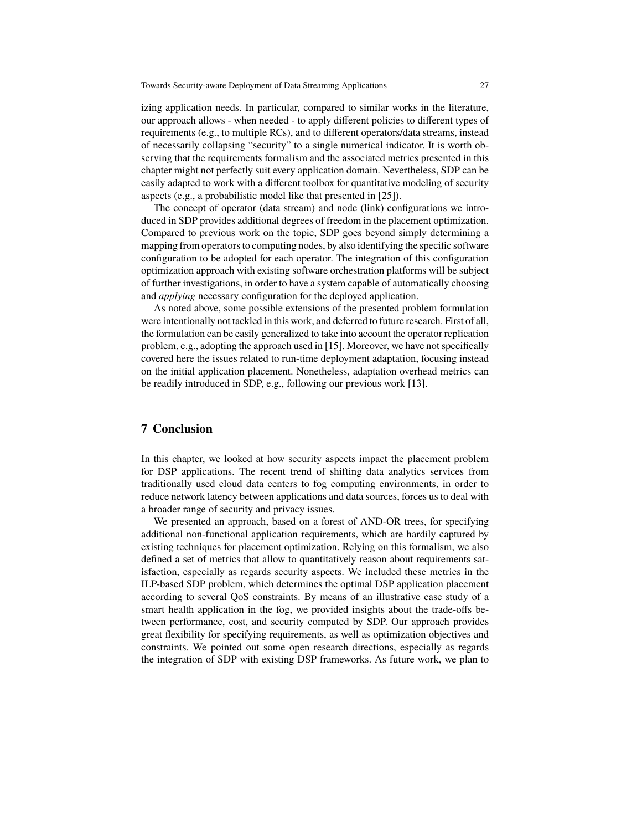izing application needs. In particular, compared to similar works in the literature, our approach allows - when needed - to apply different policies to different types of requirements (e.g., to multiple RCs), and to different operators/data streams, instead of necessarily collapsing "security" to a single numerical indicator. It is worth observing that the requirements formalism and the associated metrics presented in this chapter might not perfectly suit every application domain. Nevertheless, SDP can be easily adapted to work with a different toolbox for quantitative modeling of security aspects (e.g., a probabilistic model like that presented in [25]).

The concept of operator (data stream) and node (link) configurations we introduced in SDP provides additional degrees of freedom in the placement optimization. Compared to previous work on the topic, SDP goes beyond simply determining a mapping from operators to computing nodes, by also identifying the specific software configuration to be adopted for each operator. The integration of this configuration optimization approach with existing software orchestration platforms will be subject of further investigations, in order to have a system capable of automatically choosing and *applying* necessary configuration for the deployed application.

As noted above, some possible extensions of the presented problem formulation were intentionally not tackled in this work, and deferred to future research. First of all, the formulation can be easily generalized to take into account the operator replication problem, e.g., adopting the approach used in [15]. Moreover, we have not specifically covered here the issues related to run-time deployment adaptation, focusing instead on the initial application placement. Nonetheless, adaptation overhead metrics can be readily introduced in SDP, e.g., following our previous work [13].

### **7 Conclusion**

In this chapter, we looked at how security aspects impact the placement problem for DSP applications. The recent trend of shifting data analytics services from traditionally used cloud data centers to fog computing environments, in order to reduce network latency between applications and data sources, forces us to deal with a broader range of security and privacy issues.

We presented an approach, based on a forest of AND-OR trees, for specifying additional non-functional application requirements, which are hardily captured by existing techniques for placement optimization. Relying on this formalism, we also defined a set of metrics that allow to quantitatively reason about requirements satisfaction, especially as regards security aspects. We included these metrics in the ILP-based SDP problem, which determines the optimal DSP application placement according to several QoS constraints. By means of an illustrative case study of a smart health application in the fog, we provided insights about the trade-offs between performance, cost, and security computed by SDP. Our approach provides great flexibility for specifying requirements, as well as optimization objectives and constraints. We pointed out some open research directions, especially as regards the integration of SDP with existing DSP frameworks. As future work, we plan to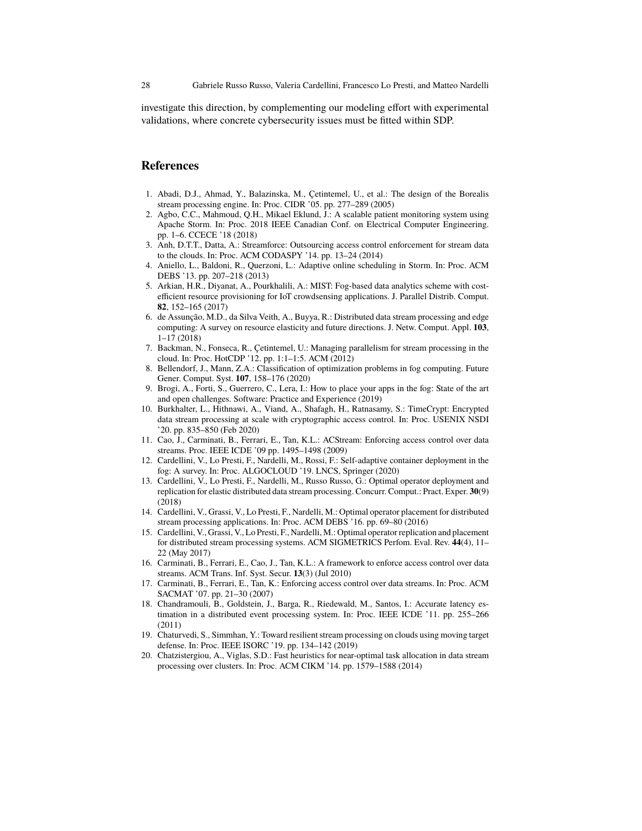investigate this direction, by complementing our modeling effort with experimental validations, where concrete cybersecurity issues must be fitted within SDP.

# **References**

- 1. Abadi, D.J., Ahmad, Y., Balazinska, M., Çetintemel, U., et al.: The design of the Borealis stream processing engine. In: Proc. CIDR '05. pp. 277–289 (2005)
- 2. Agbo, C.C., Mahmoud, Q.H., Mikael Eklund, J.: A scalable patient monitoring system using Apache Storm. In: Proc. 2018 IEEE Canadian Conf. on Electrical Computer Engineering. pp. 1–6. CCECE '18 (2018)
- 3. Anh, D.T.T., Datta, A.: Streamforce: Outsourcing access control enforcement for stream data to the clouds. In: Proc. ACM CODASPY '14. pp. 13–24 (2014)
- 4. Aniello, L., Baldoni, R., Querzoni, L.: Adaptive online scheduling in Storm. In: Proc. ACM DEBS '13. pp. 207–218 (2013)
- 5. Arkian, H.R., Diyanat, A., Pourkhalili, A.: MIST: Fog-based data analytics scheme with costefficient resource provisioning for IoT crowdsensing applications. J. Parallel Distrib. Comput. **82**, 152–165 (2017)
- 6. de Assunção, M.D., da Silva Veith, A., Buyya, R.: Distributed data stream processing and edge computing: A survey on resource elasticity and future directions. J. Netw. Comput. Appl. **103**, 1–17 (2018)
- 7. Backman, N., Fonseca, R., Çetintemel, U.: Managing parallelism for stream processing in the cloud. In: Proc. HotCDP '12. pp. 1:1–1:5. ACM (2012)
- 8. Bellendorf, J., Mann, Z.A.: Classification of optimization problems in fog computing. Future Gener. Comput. Syst. **107**, 158–176 (2020)
- 9. Brogi, A., Forti, S., Guerrero, C., Lera, I.: How to place your apps in the fog: State of the art and open challenges. Software: Practice and Experience (2019)
- 10. Burkhalter, L., Hithnawi, A., Viand, A., Shafagh, H., Ratnasamy, S.: TimeCrypt: Encrypted data stream processing at scale with cryptographic access control. In: Proc. USENIX NSDI '20. pp. 835–850 (Feb 2020)
- 11. Cao, J., Carminati, B., Ferrari, E., Tan, K.L.: ACStream: Enforcing access control over data streams. Proc. IEEE ICDE '09 pp. 1495–1498 (2009)
- 12. Cardellini, V., Lo Presti, F., Nardelli, M., Rossi, F.: Self-adaptive container deployment in the fog: A survey. In: Proc. ALGOCLOUD '19. LNCS, Springer (2020)
- 13. Cardellini, V., Lo Presti, F., Nardelli, M., Russo Russo, G.: Optimal operator deployment and replication for elastic distributed data stream processing. Concurr. Comput.: Pract. Exper. **30**(9) (2018)
- 14. Cardellini, V., Grassi, V., Lo Presti, F., Nardelli, M.: Optimal operator placement for distributed stream processing applications. In: Proc. ACM DEBS '16. pp. 69–80 (2016)
- 15. Cardellini, V., Grassi, V., Lo Presti, F., Nardelli, M.: Optimal operator replication and placement for distributed stream processing systems. ACM SIGMETRICS Perfom. Eval. Rev. **44**(4), 11– 22 (May 2017)
- 16. Carminati, B., Ferrari, E., Cao, J., Tan, K.L.: A framework to enforce access control over data streams. ACM Trans. Inf. Syst. Secur. **13**(3) (Jul 2010)
- 17. Carminati, B., Ferrari, E., Tan, K.: Enforcing access control over data streams. In: Proc. ACM SACMAT '07. pp. 21–30 (2007)
- 18. Chandramouli, B., Goldstein, J., Barga, R., Riedewald, M., Santos, I.: Accurate latency estimation in a distributed event processing system. In: Proc. IEEE ICDE '11. pp. 255–266 (2011)
- 19. Chaturvedi, S., Simmhan, Y.: Toward resilient stream processing on clouds using moving target defense. In: Proc. IEEE ISORC '19. pp. 134–142 (2019)
- 20. Chatzistergiou, A., Viglas, S.D.: Fast heuristics for near-optimal task allocation in data stream processing over clusters. In: Proc. ACM CIKM '14. pp. 1579–1588 (2014)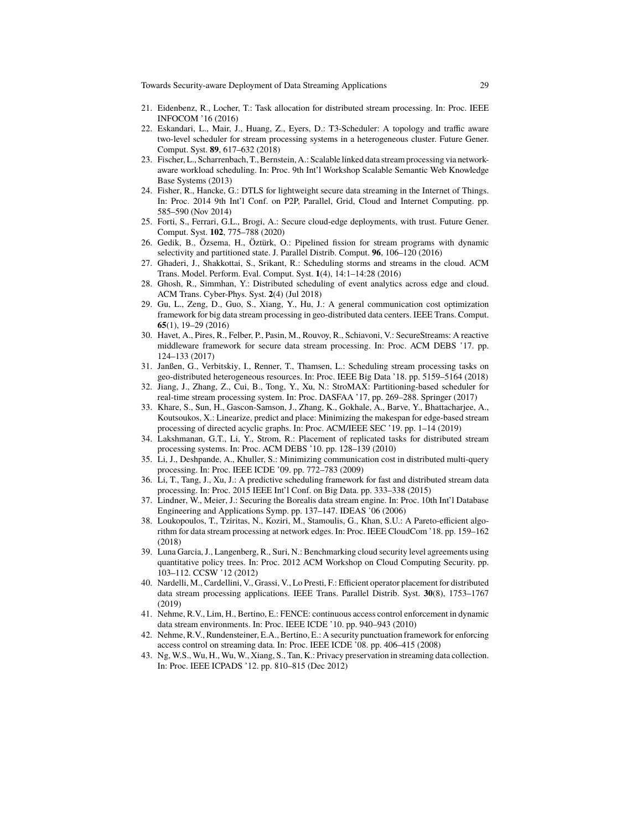Towards Security-aware Deployment of Data Streaming Applications 29

- 21. Eidenbenz, R., Locher, T.: Task allocation for distributed stream processing. In: Proc. IEEE INFOCOM '16 (2016)
- 22. Eskandari, L., Mair, J., Huang, Z., Eyers, D.: T3-Scheduler: A topology and traffic aware two-level scheduler for stream processing systems in a heterogeneous cluster. Future Gener. Comput. Syst. **89**, 617–632 (2018)
- 23. Fischer, L., Scharrenbach, T., Bernstein, A.: Scalable linked data stream processing via networkaware workload scheduling. In: Proc. 9th Int'l Workshop Scalable Semantic Web Knowledge Base Systems (2013)
- 24. Fisher, R., Hancke, G.: DTLS for lightweight secure data streaming in the Internet of Things. In: Proc. 2014 9th Int'l Conf. on P2P, Parallel, Grid, Cloud and Internet Computing. pp. 585–590 (Nov 2014)
- 25. Forti, S., Ferrari, G.L., Brogi, A.: Secure cloud-edge deployments, with trust. Future Gener. Comput. Syst. **102**, 775–788 (2020)
- 26. Gedik, B., Özsema, H., Öztürk, O.: Pipelined fission for stream programs with dynamic selectivity and partitioned state. J. Parallel Distrib. Comput. **96**, 106–120 (2016)
- 27. Ghaderi, J., Shakkottai, S., Srikant, R.: Scheduling storms and streams in the cloud. ACM Trans. Model. Perform. Eval. Comput. Syst. **1**(4), 14:1–14:28 (2016)
- 28. Ghosh, R., Simmhan, Y.: Distributed scheduling of event analytics across edge and cloud. ACM Trans. Cyber-Phys. Syst. **2**(4) (Jul 2018)
- 29. Gu, L., Zeng, D., Guo, S., Xiang, Y., Hu, J.: A general communication cost optimization framework for big data stream processing in geo-distributed data centers. IEEE Trans. Comput. **65**(1), 19–29 (2016)
- 30. Havet, A., Pires, R., Felber, P., Pasin, M., Rouvoy, R., Schiavoni, V.: SecureStreams: A reactive middleware framework for secure data stream processing. In: Proc. ACM DEBS '17. pp. 124–133 (2017)
- 31. Janßen, G., Verbitskiy, I., Renner, T., Thamsen, L.: Scheduling stream processing tasks on geo-distributed heterogeneous resources. In: Proc. IEEE Big Data '18. pp. 5159–5164 (2018)
- 32. Jiang, J., Zhang, Z., Cui, B., Tong, Y., Xu, N.: StroMAX: Partitioning-based scheduler for real-time stream processing system. In: Proc. DASFAA '17, pp. 269–288. Springer (2017)
- 33. Khare, S., Sun, H., Gascon-Samson, J., Zhang, K., Gokhale, A., Barve, Y., Bhattacharjee, A., Koutsoukos, X.: Linearize, predict and place: Minimizing the makespan for edge-based stream processing of directed acyclic graphs. In: Proc. ACM/IEEE SEC '19. pp. 1–14 (2019)
- 34. Lakshmanan, G.T., Li, Y., Strom, R.: Placement of replicated tasks for distributed stream processing systems. In: Proc. ACM DEBS '10. pp. 128–139 (2010)
- 35. Li, J., Deshpande, A., Khuller, S.: Minimizing communication cost in distributed multi-query processing. In: Proc. IEEE ICDE '09. pp. 772–783 (2009)
- 36. Li, T., Tang, J., Xu, J.: A predictive scheduling framework for fast and distributed stream data processing. In: Proc. 2015 IEEE Int'l Conf. on Big Data. pp. 333–338 (2015)
- 37. Lindner, W., Meier, J.: Securing the Borealis data stream engine. In: Proc. 10th Int'l Database Engineering and Applications Symp. pp. 137–147. IDEAS '06 (2006)
- 38. Loukopoulos, T., Tziritas, N., Koziri, M., Stamoulis, G., Khan, S.U.: A Pareto-efficient algorithm for data stream processing at network edges. In: Proc. IEEE CloudCom '18. pp. 159–162 (2018)
- 39. Luna Garcia, J., Langenberg, R., Suri, N.: Benchmarking cloud security level agreements using quantitative policy trees. In: Proc. 2012 ACM Workshop on Cloud Computing Security. pp. 103–112. CCSW '12 (2012)
- 40. Nardelli, M., Cardellini, V., Grassi, V., Lo Presti, F.: Efficient operator placement for distributed data stream processing applications. IEEE Trans. Parallel Distrib. Syst. **30**(8), 1753–1767 (2019)
- 41. Nehme, R.V., Lim, H., Bertino, E.: FENCE: continuous access control enforcement in dynamic data stream environments. In: Proc. IEEE ICDE '10. pp. 940–943 (2010)
- 42. Nehme, R.V., Rundensteiner, E.A., Bertino, E.: A security punctuation framework for enforcing access control on streaming data. In: Proc. IEEE ICDE '08. pp. 406–415 (2008)
- 43. Ng, W.S., Wu, H., Wu, W., Xiang, S., Tan, K.: Privacy preservation in streaming data collection. In: Proc. IEEE ICPADS '12. pp. 810–815 (Dec 2012)